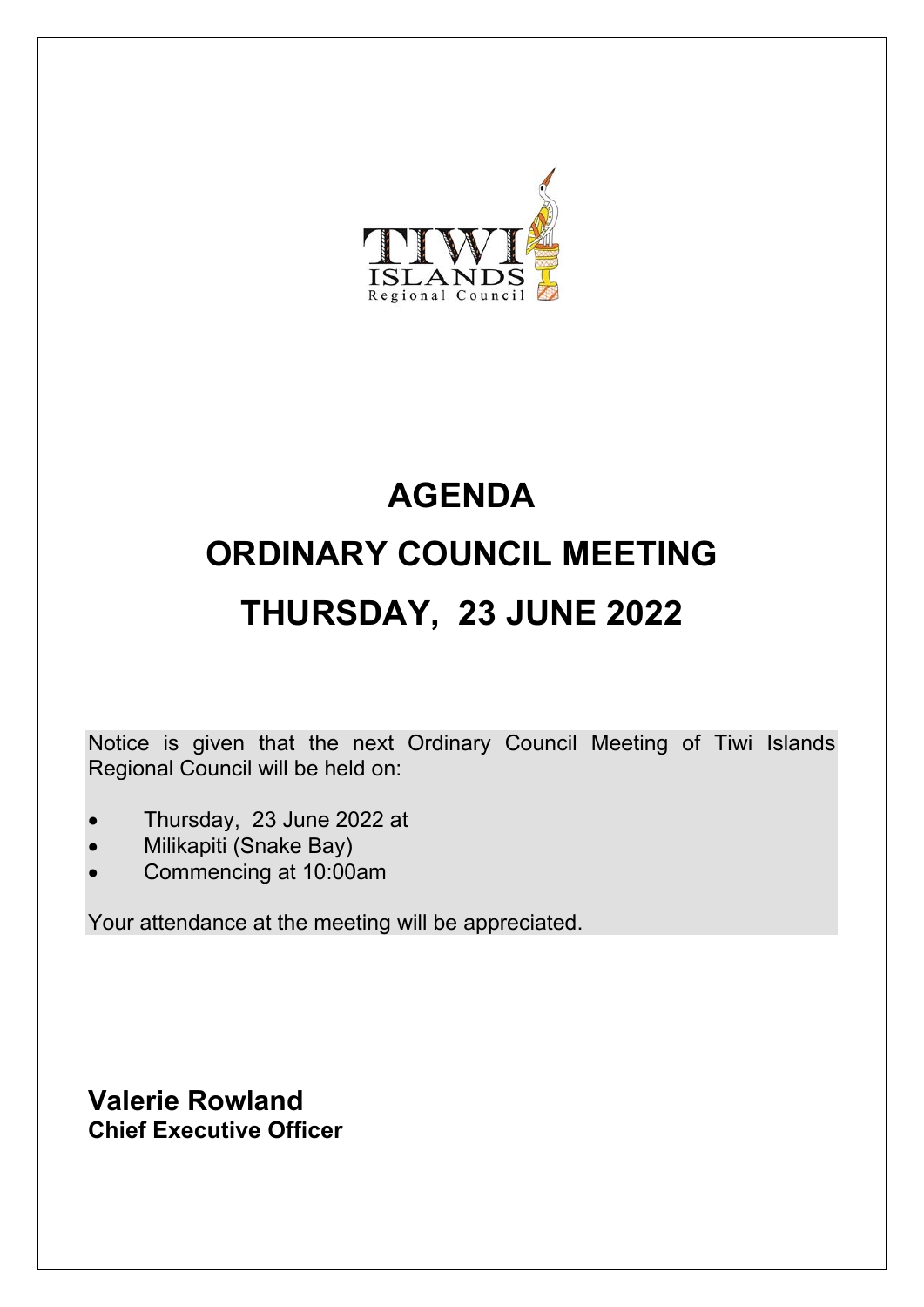

# **AGENDA ORDINARY COUNCIL MEETING THURSDAY, 23 JUNE 2022**

Notice is given that the next Ordinary Council Meeting of Tiwi Islands Regional Council will be held on:

- Thursday, 23 June 2022 at
- Milikapiti (Snake Bay)
- Commencing at 10:00am

Your attendance at the meeting will be appreciated.

**Valerie Rowland Chief Executive Officer**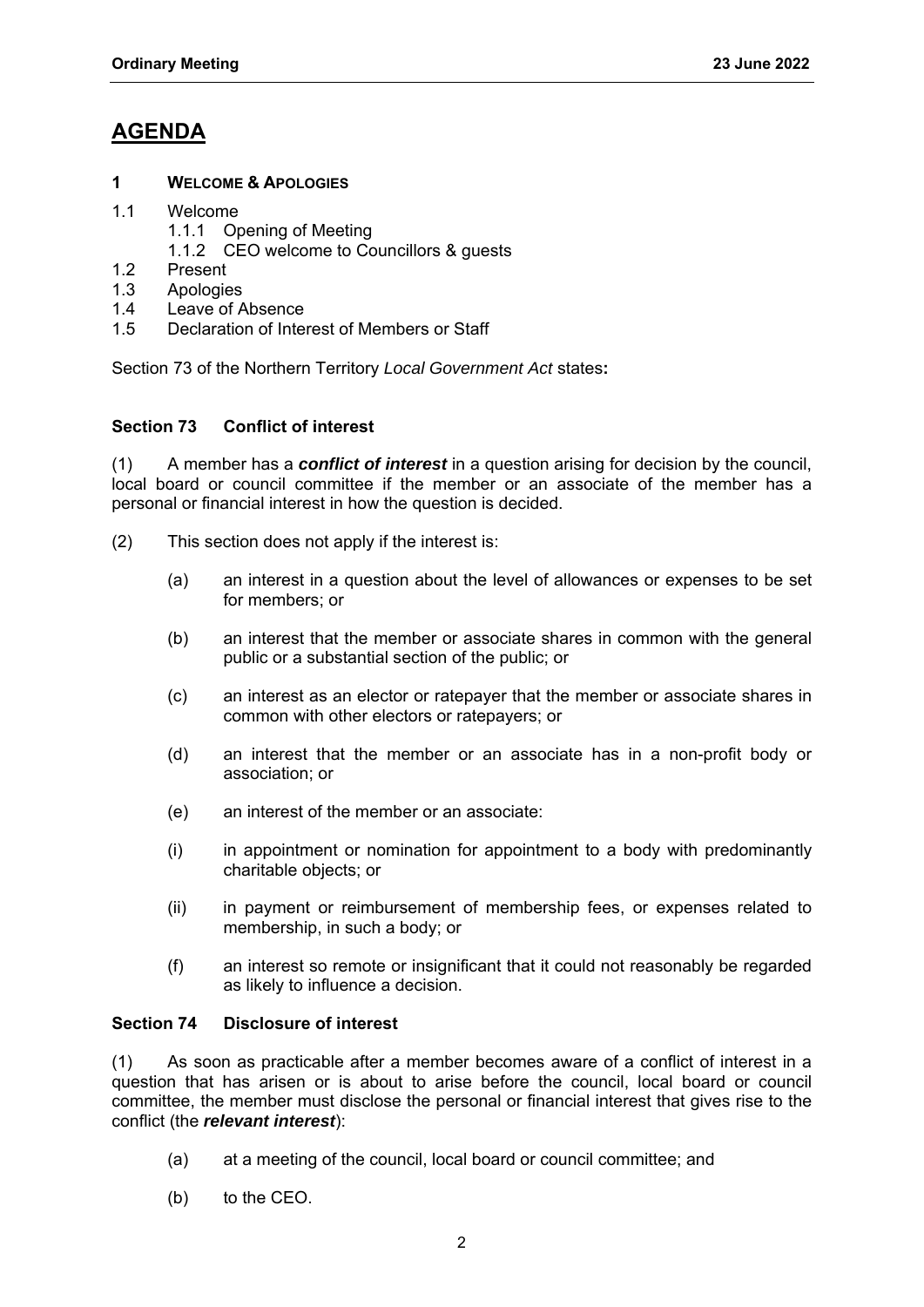# **AGENDA**

#### **1 WELCOME & APOLOGIES**

- 1.1 Welcome
	- 1.1.1 Opening of Meeting
	- 1.1.2 CEO welcome to Councillors & guests
- 1.2 Present
- 1.3 Apologies
- 1.4 Leave of Absence
- 1.5 Declaration of Interest of Members or Staff

Section 73 of the Northern Territory *Local Government Act* states**:** 

#### **Section 73 Conflict of interest**

(1) A member has a *conflict of interest* in a question arising for decision by the council, local board or council committee if the member or an associate of the member has a personal or financial interest in how the question is decided.

- (2) This section does not apply if the interest is:
	- (a) an interest in a question about the level of allowances or expenses to be set for members; or
	- (b) an interest that the member or associate shares in common with the general public or a substantial section of the public; or
	- (c) an interest as an elector or ratepayer that the member or associate shares in common with other electors or ratepayers; or
	- (d) an interest that the member or an associate has in a non-profit body or association; or
	- (e) an interest of the member or an associate:
	- (i) in appointment or nomination for appointment to a body with predominantly charitable objects; or
	- (ii) in payment or reimbursement of membership fees, or expenses related to membership, in such a body; or
	- (f) an interest so remote or insignificant that it could not reasonably be regarded as likely to influence a decision.

#### **Section 74 Disclosure of interest**

(1) As soon as practicable after a member becomes aware of a conflict of interest in a question that has arisen or is about to arise before the council, local board or council committee, the member must disclose the personal or financial interest that gives rise to the conflict (the *relevant interest*):

- (a) at a meeting of the council, local board or council committee; and
- (b) to the CEO.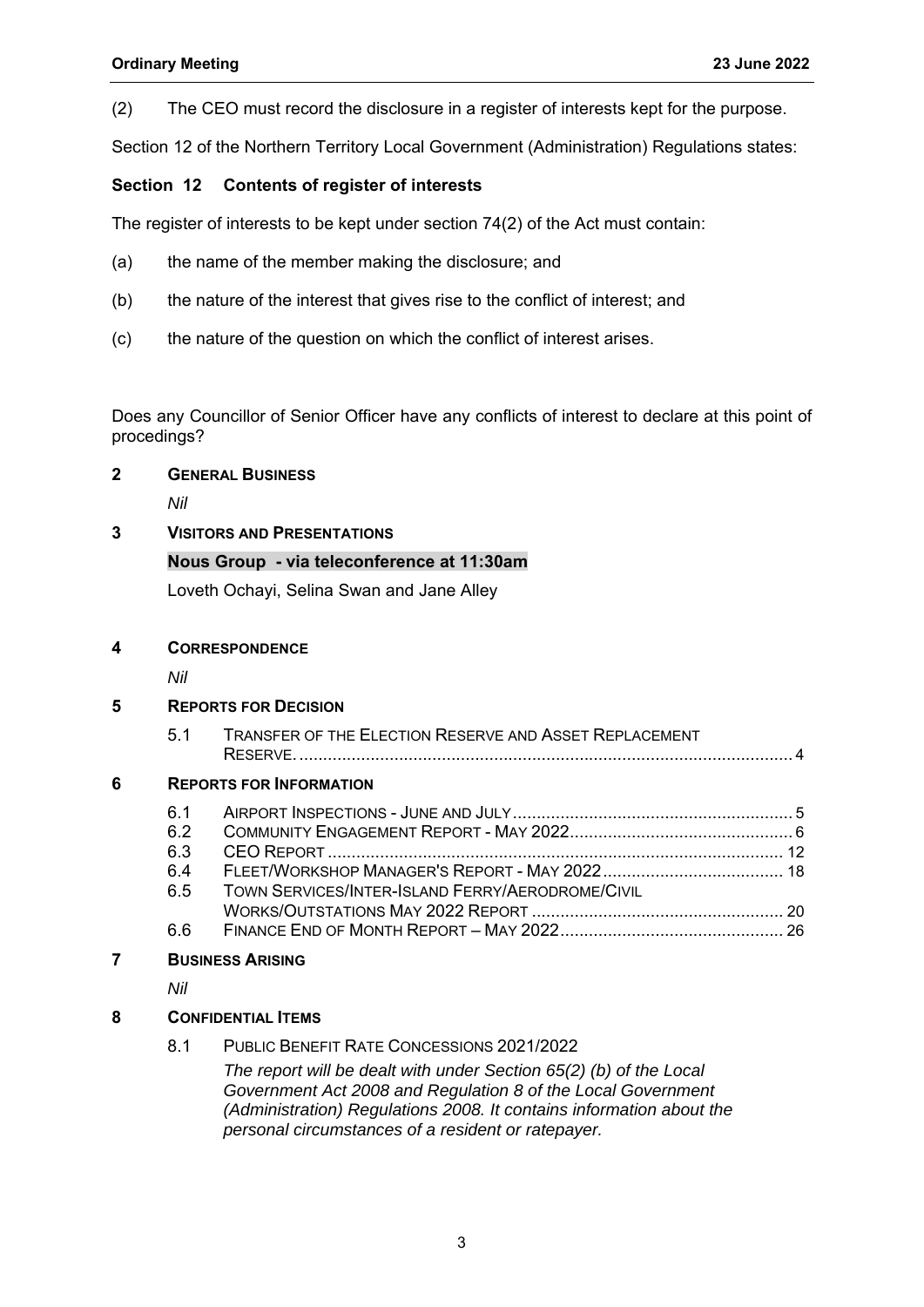(2) The CEO must record the disclosure in a register of interests kept for the purpose.

Section 12 of the Northern Territory Local Government (Administration) Regulations states:

#### **Section 12 Contents of register of interests**

The register of interests to be kept under section 74(2) of the Act must contain:

- (a) the name of the member making the disclosure; and
- (b) the nature of the interest that gives rise to the conflict of interest; and
- (c) the nature of the question on which the conflict of interest arises.

Does any Councillor of Senior Officer have any conflicts of interest to declare at this point of procedings?

#### **2 GENERAL BUSINESS**

*Nil* 

#### **3 VISITORS AND PRESENTATIONS**

#### **Nous Group - via teleconference at 11:30am**

Loveth Ochayi, Selina Swan and Jane Alley

#### **4 CORRESPONDENCE**

*Nil* 

#### **5 REPORTS FOR DECISION**

| 5.1 | <b>TRANSFER OF THE ELECTION RESERVE AND ASSET REPLACEMENT</b> |
|-----|---------------------------------------------------------------|
|     | RESERVE                                                       |

#### **6 REPORTS FOR INFORMATION**

| 61  |                                                  |  |
|-----|--------------------------------------------------|--|
| 6.2 |                                                  |  |
| 6.3 |                                                  |  |
| 64  |                                                  |  |
| 65  | TOWN SERVICES/INTER-ISLAND FERRY/AERODROME/CIVIL |  |
|     |                                                  |  |
| 66  |                                                  |  |

#### **7 BUSINESS ARISING**

*Nil* 

#### **8 CONFIDENTIAL ITEMS**

8.1 PUBLIC BENEFIT RATE CONCESSIONS 2021/2022

*The report will be dealt with under Section 65(2) (b) of the Local Government Act 2008 and Regulation 8 of the Local Government (Administration) Regulations 2008. It contains information about the personal circumstances of a resident or ratepayer.*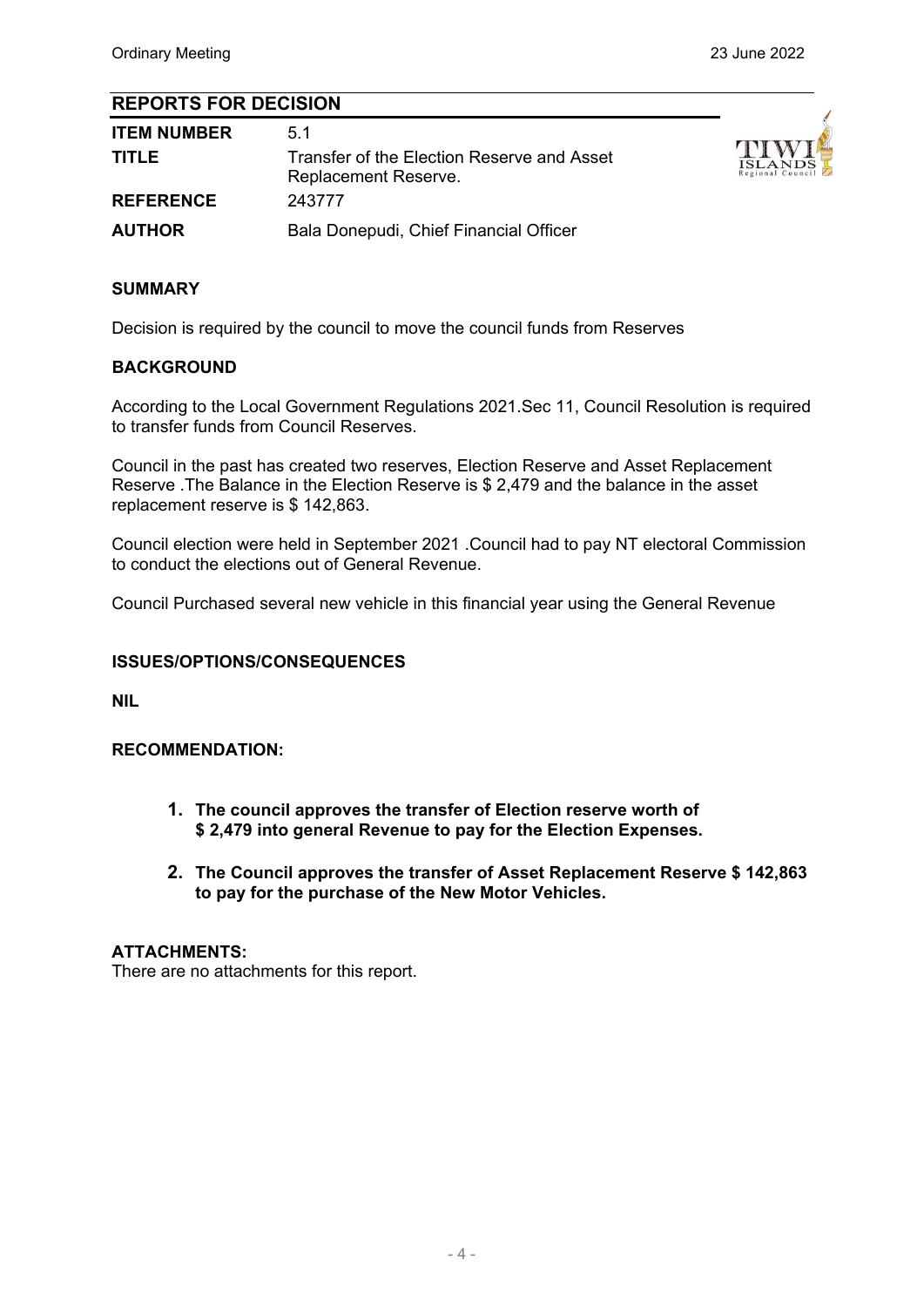#### **REPORTS FOR DECISION**

| <b>ITEM NUMBER</b><br><b>TITLE</b> | 51<br>Transfer of the Election Reserve and Asset<br>Replacement Reserve. | TIWI<br><b>ISLANDS</b><br>Regional Council |
|------------------------------------|--------------------------------------------------------------------------|--------------------------------------------|
| <b>REFERENCE</b>                   | 243777                                                                   |                                            |
| <b>AUTHOR</b>                      | Bala Donepudi, Chief Financial Officer                                   |                                            |

#### **SUMMARY**

Decision is required by the council to move the council funds from Reserves

#### **BACKGROUND**

According to the Local Government Regulations 2021.Sec 11, Council Resolution is required to transfer funds from Council Reserves.

Council in the past has created two reserves, Election Reserve and Asset Replacement Reserve .The Balance in the Election Reserve is \$ 2,479 and the balance in the asset replacement reserve is \$ 142,863.

Council election were held in September 2021 .Council had to pay NT electoral Commission to conduct the elections out of General Revenue.

Council Purchased several new vehicle in this financial year using the General Revenue

#### **ISSUES/OPTIONS/CONSEQUENCES**

**NIL**

#### **RECOMMENDATION:**

- **1. The council approves the transfer of Election reserve worth of \$ 2,479 into general Revenue to pay for the Election Expenses.**
- **2. The Council approves the transfer of Asset Replacement Reserve \$ 142,863 to pay for the purchase of the New Motor Vehicles.**

#### **ATTACHMENTS:**

There are no attachments for this report.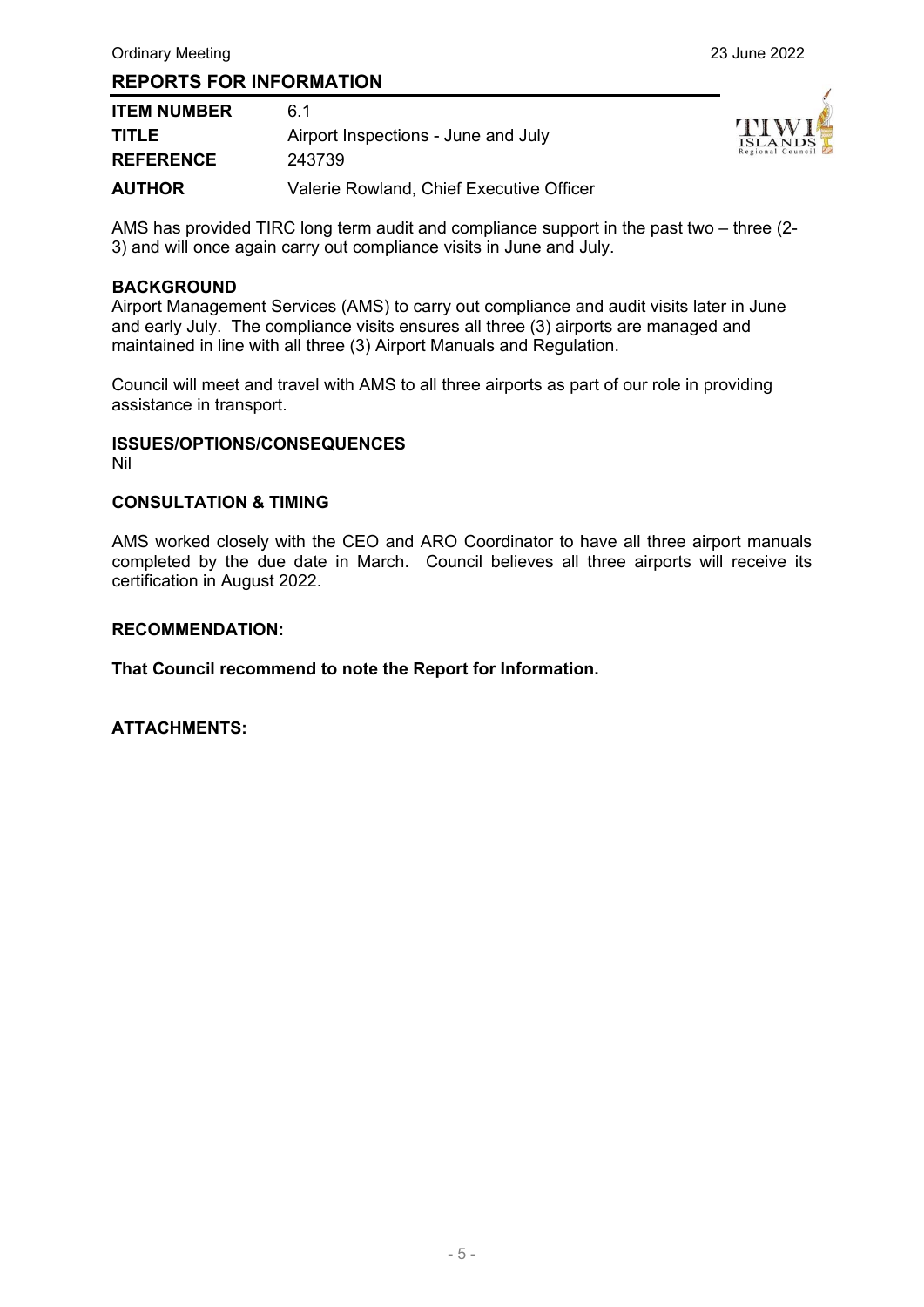| <b>ITEM NUMBER</b> | 61                                       |
|--------------------|------------------------------------------|
| <b>TITLE</b>       | Airport Inspections - June and July      |
| <b>REFERENCE</b>   | 243739                                   |
| <b>AUTHOR</b>      | Valerie Rowland, Chief Executive Officer |



AMS has provided TIRC long term audit and compliance support in the past two – three (2- 3) and will once again carry out compliance visits in June and July.

#### **BACKGROUND**

Airport Management Services (AMS) to carry out compliance and audit visits later in June and early July. The compliance visits ensures all three (3) airports are managed and maintained in line with all three (3) Airport Manuals and Regulation.

Council will meet and travel with AMS to all three airports as part of our role in providing assistance in transport.

#### **ISSUES/OPTIONS/CONSEQUENCES**

Nil

#### **CONSULTATION & TIMING**

AMS worked closely with the CEO and ARO Coordinator to have all three airport manuals completed by the due date in March. Council believes all three airports will receive its certification in August 2022.

#### **RECOMMENDATION:**

**That Council recommend to note the Report for Information.**

**ATTACHMENTS:**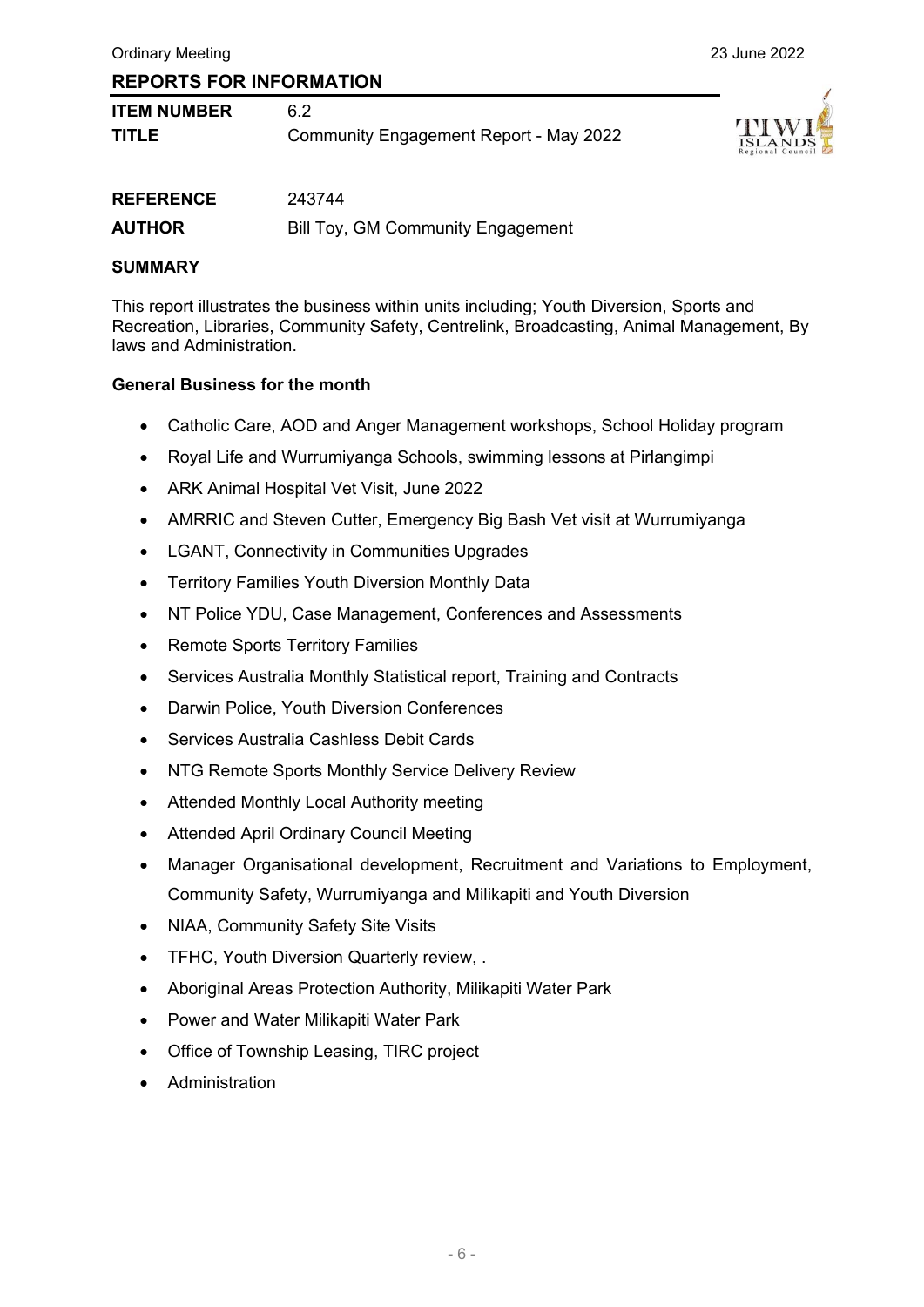| <b>ITEM NUMBER</b> |                                               |
|--------------------|-----------------------------------------------|
| <b>TITLE</b>       | <b>Community Engagement Report - May 2022</b> |



| <b>REFERENCE</b> | 243744                            |
|------------------|-----------------------------------|
| <b>AUTHOR</b>    | Bill Toy, GM Community Engagement |

#### **SUMMARY**

This report illustrates the business within units including; Youth Diversion, Sports and Recreation, Libraries, Community Safety, Centrelink, Broadcasting, Animal Management, By laws and Administration.

#### **General Business for the month**

- Catholic Care, AOD and Anger Management workshops, School Holiday program
- Royal Life and Wurrumiyanga Schools, swimming lessons at Pirlangimpi
- ARK Animal Hospital Vet Visit, June 2022
- AMRRIC and Steven Cutter, Emergency Big Bash Vet visit at Wurrumiyanga
- LGANT, Connectivity in Communities Upgrades
- Territory Families Youth Diversion Monthly Data
- NT Police YDU, Case Management, Conferences and Assessments
- Remote Sports Territory Families
- Services Australia Monthly Statistical report, Training and Contracts
- Darwin Police, Youth Diversion Conferences
- Services Australia Cashless Debit Cards
- NTG Remote Sports Monthly Service Delivery Review
- Attended Monthly Local Authority meeting
- Attended April Ordinary Council Meeting
- Manager Organisational development, Recruitment and Variations to Employment, Community Safety, Wurrumiyanga and Milikapiti and Youth Diversion
- NIAA, Community Safety Site Visits
- TFHC, Youth Diversion Quarterly review, .
- Aboriginal Areas Protection Authority, Milikapiti Water Park
- Power and Water Milikapiti Water Park
- Office of Township Leasing, TIRC project
- Administration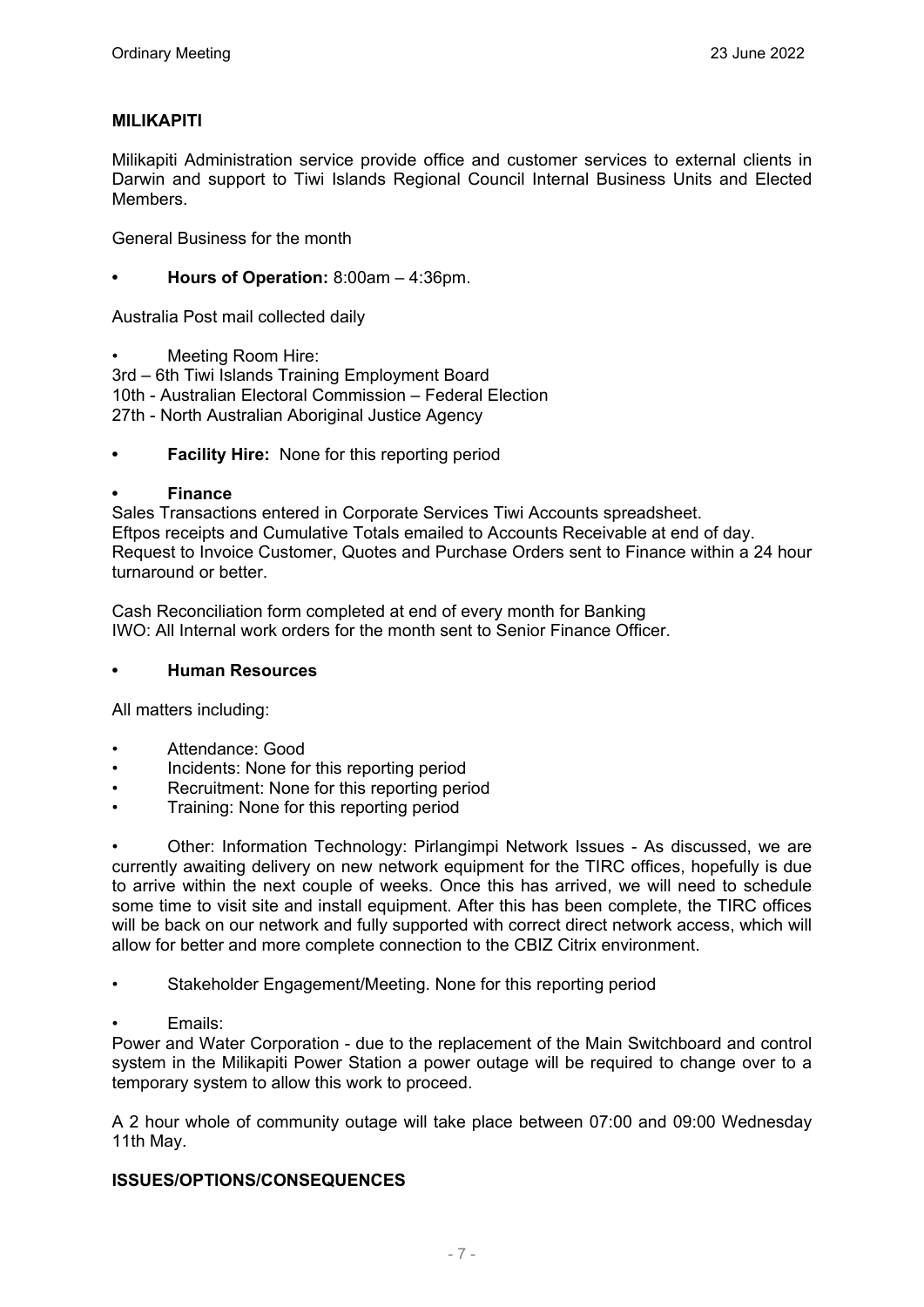#### **MILIKAPITI**

Milikapiti Administration service provide office and customer services to external clients in Darwin and support to Tiwi Islands Regional Council Internal Business Units and Elected Members.

General Business for the month

**• Hours of Operation:** 8:00am – 4:36pm.

Australia Post mail collected daily

• Meeting Room Hire:

3rd – 6th Tiwi Islands Training Employment Board 10th - Australian Electoral Commission – Federal Election 27th - North Australian Aboriginal Justice Agency

**Facility Hire:** None for this reporting period

#### **• Finance**

Sales Transactions entered in Corporate Services Tiwi Accounts spreadsheet. Eftpos receipts and Cumulative Totals emailed to Accounts Receivable at end of day. Request to Invoice Customer, Quotes and Purchase Orders sent to Finance within a 24 hour turnaround or better.

Cash Reconciliation form completed at end of every month for Banking IWO: All Internal work orders for the month sent to Senior Finance Officer.

#### **• Human Resources**

All matters including:

- Attendance: Good
- Incidents: None for this reporting period
- Recruitment: None for this reporting period
- Training: None for this reporting period

• Other: Information Technology: Pirlangimpi Network Issues - As discussed, we are currently awaiting delivery on new network equipment for the TIRC offices, hopefully is due to arrive within the next couple of weeks. Once this has arrived, we will need to schedule some time to visit site and install equipment. After this has been complete, the TIRC offices will be back on our network and fully supported with correct direct network access, which will allow for better and more complete connection to the CBIZ Citrix environment.

- Stakeholder Engagement/Meeting. None for this reporting period
- Emails:

Power and Water Corporation - due to the replacement of the Main Switchboard and control system in the Milikapiti Power Station a power outage will be required to change over to a temporary system to allow this work to proceed.

A 2 hour whole of community outage will take place between 07:00 and 09:00 Wednesday 11th May.

#### **ISSUES/OPTIONS/CONSEQUENCES**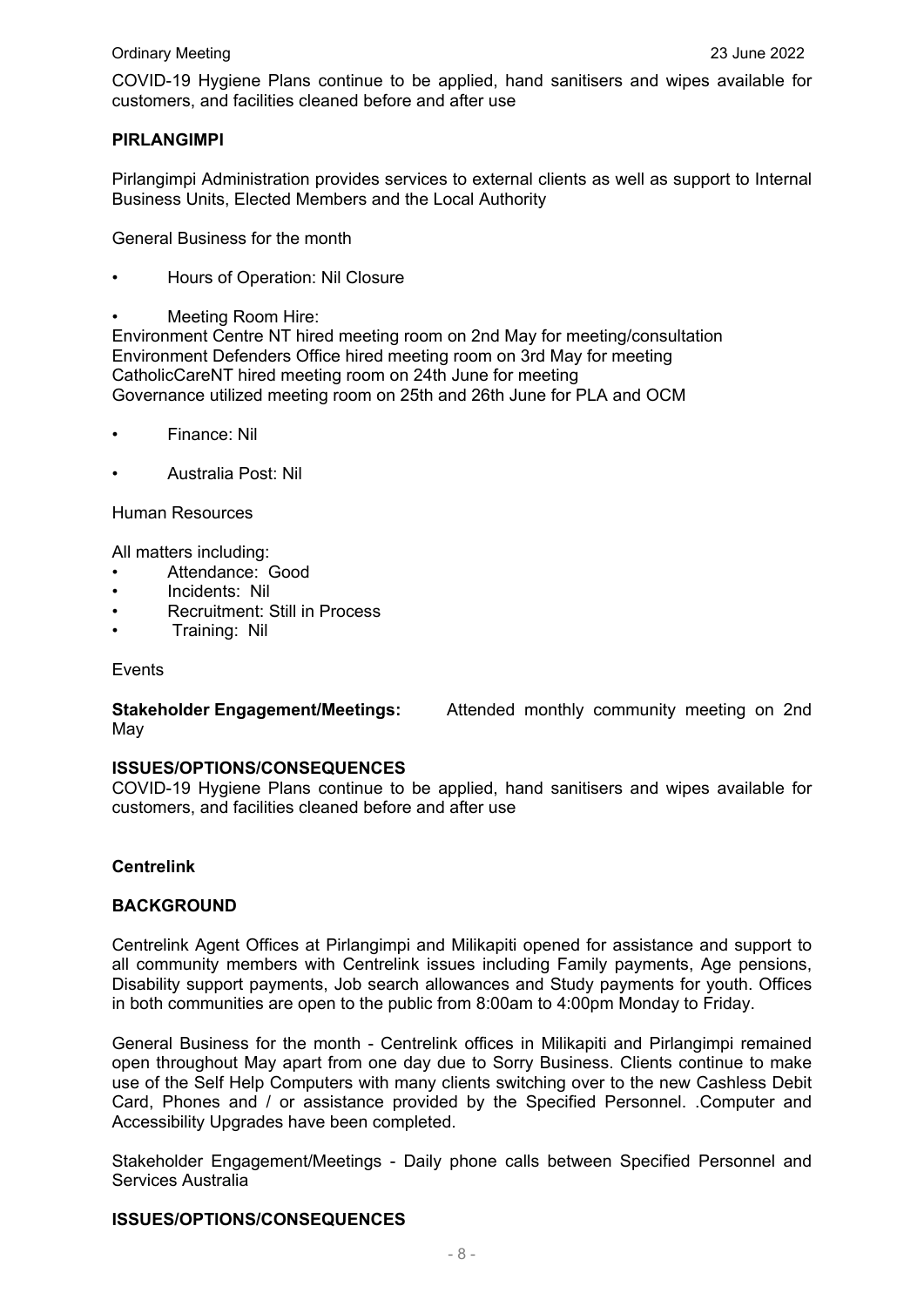COVID-19 Hygiene Plans continue to be applied, hand sanitisers and wipes available for customers, and facilities cleaned before and after use

#### **PIRLANGIMPI**

Pirlangimpi Administration provides services to external clients as well as support to Internal Business Units, Elected Members and the Local Authority

General Business for the month

- Hours of Operation: Nil Closure
- Meeting Room Hire:

Environment Centre NT hired meeting room on 2nd May for meeting/consultation Environment Defenders Office hired meeting room on 3rd May for meeting CatholicCareNT hired meeting room on 24th June for meeting Governance utilized meeting room on 25th and 26th June for PLA and OCM

- Finance: Nil
- Australia Post: Nil

Human Resources

All matters including:

- Attendance: Good
- Incidents: Nil
- Recruitment: Still in Process
- Training: Nil

Events

May

**Stakeholder Engagement/Meetings:** Attended monthly community meeting on 2nd

#### **ISSUES/OPTIONS/CONSEQUENCES**

COVID-19 Hygiene Plans continue to be applied, hand sanitisers and wipes available for customers, and facilities cleaned before and after use

#### **Centrelink**

#### **BACKGROUND**

Centrelink Agent Offices at Pirlangimpi and Milikapiti opened for assistance and support to all community members with Centrelink issues including Family payments, Age pensions, Disability support payments, Job search allowances and Study payments for youth. Offices in both communities are open to the public from 8:00am to 4:00pm Monday to Friday.

General Business for the month - Centrelink offices in Milikapiti and Pirlangimpi remained open throughout May apart from one day due to Sorry Business. Clients continue to make use of the Self Help Computers with many clients switching over to the new Cashless Debit Card, Phones and / or assistance provided by the Specified Personnel. .Computer and Accessibility Upgrades have been completed.

Stakeholder Engagement/Meetings - Daily phone calls between Specified Personnel and Services Australia

#### **ISSUES/OPTIONS/CONSEQUENCES**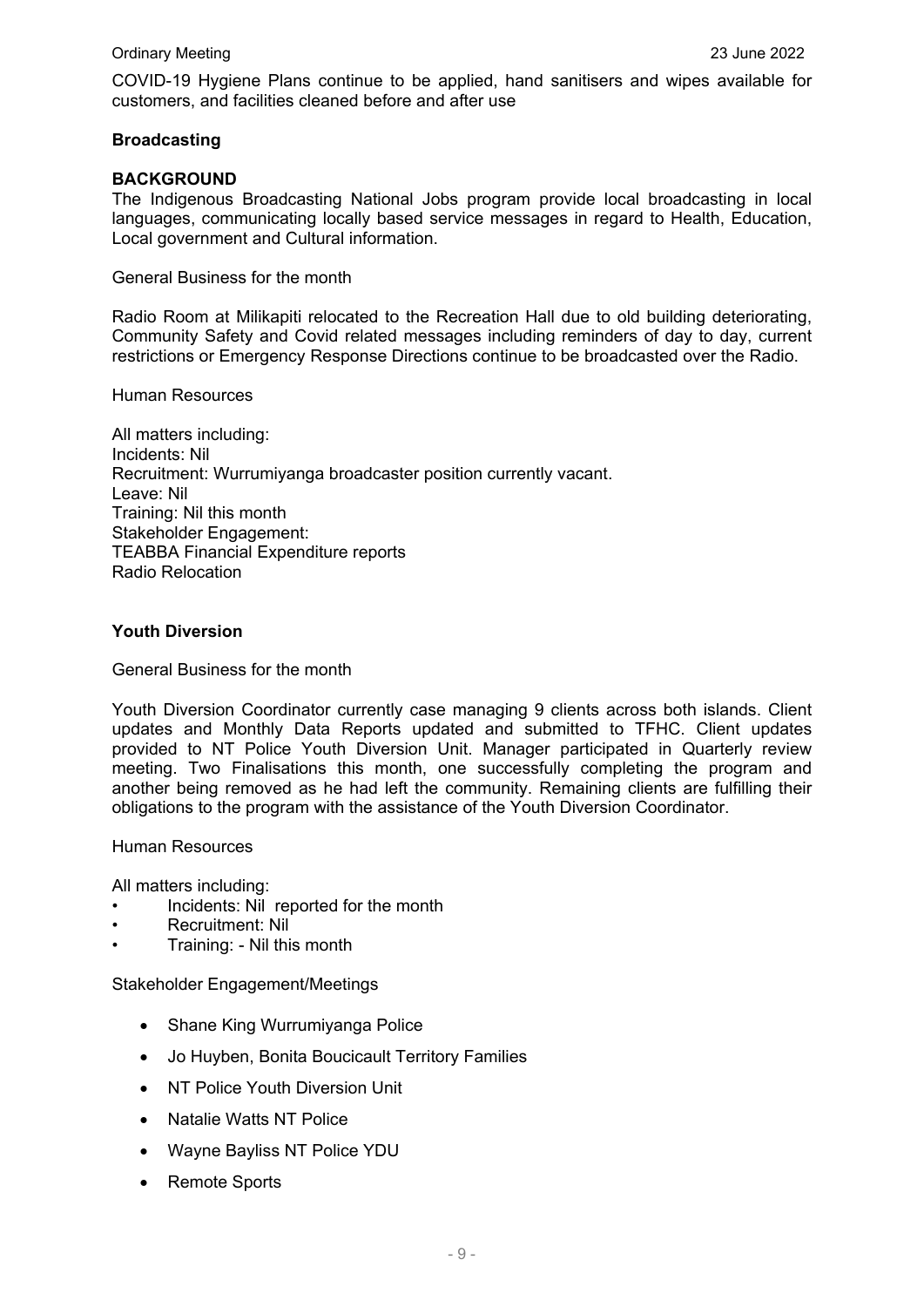COVID-19 Hygiene Plans continue to be applied, hand sanitisers and wipes available for customers, and facilities cleaned before and after use

#### **Broadcasting**

#### **BACKGROUND**

The Indigenous Broadcasting National Jobs program provide local broadcasting in local languages, communicating locally based service messages in regard to Health, Education, Local government and Cultural information.

General Business for the month

Radio Room at Milikapiti relocated to the Recreation Hall due to old building deteriorating, Community Safety and Covid related messages including reminders of day to day, current restrictions or Emergency Response Directions continue to be broadcasted over the Radio.

Human Resources

All matters including: Incidents: Nil Recruitment: Wurrumiyanga broadcaster position currently vacant. Leave: Nil Training: Nil this month Stakeholder Engagement: TEABBA Financial Expenditure reports Radio Relocation

#### **Youth Diversion**

General Business for the month

Youth Diversion Coordinator currently case managing 9 clients across both islands. Client updates and Monthly Data Reports updated and submitted to TFHC. Client updates provided to NT Police Youth Diversion Unit. Manager participated in Quarterly review meeting. Two Finalisations this month, one successfully completing the program and another being removed as he had left the community. Remaining clients are fulfilling their obligations to the program with the assistance of the Youth Diversion Coordinator.

Human Resources

All matters including:

- Incidents: Nil reported for the month
- Recruitment: Nil
- Training: Nil this month

Stakeholder Engagement/Meetings

- Shane King Wurrumiyanga Police
- Jo Huyben, Bonita Boucicault Territory Families
- NT Police Youth Diversion Unit
- Natalie Watts NT Police
- Wayne Bayliss NT Police YDU
- Remote Sports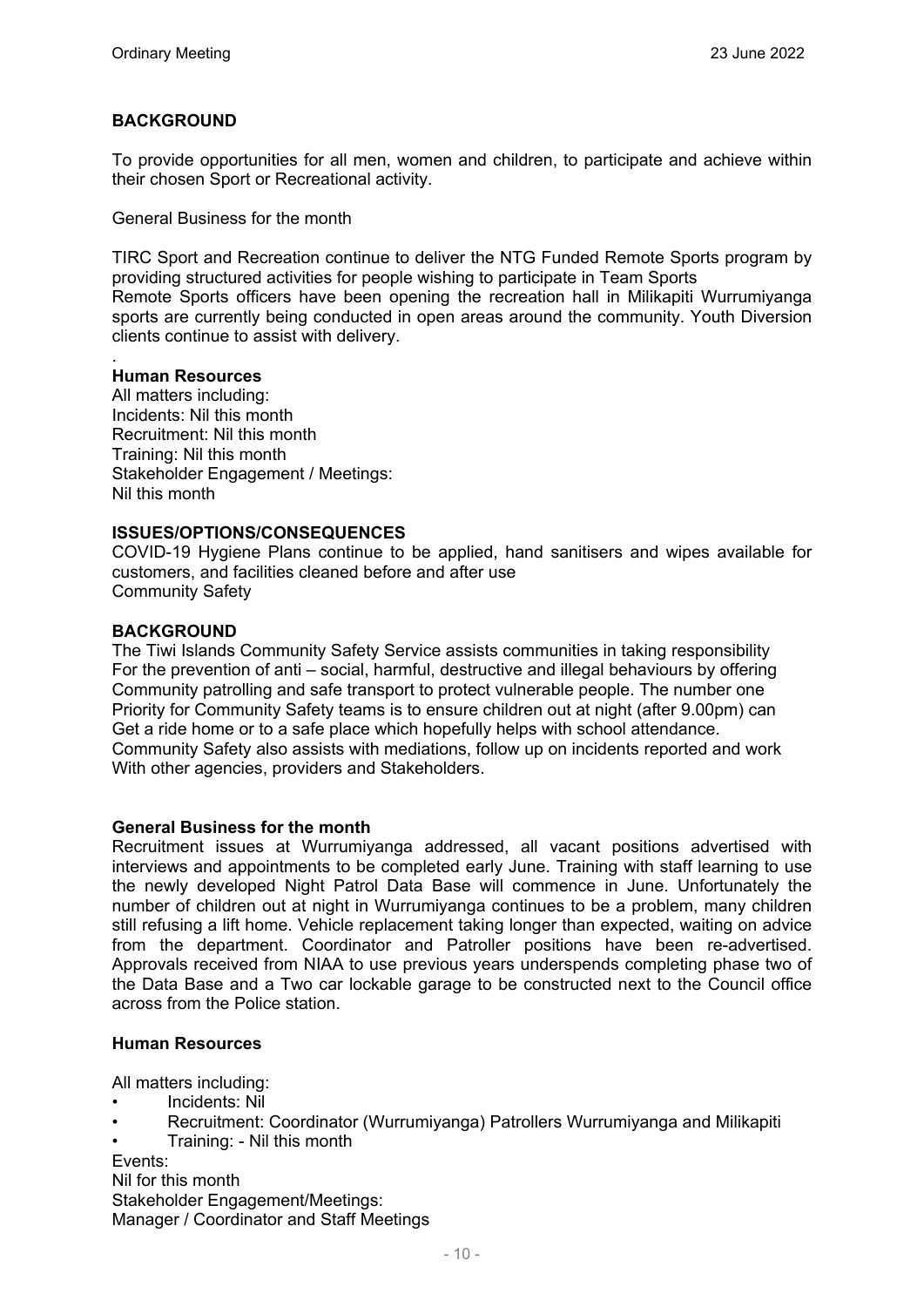#### **BACKGROUND**

To provide opportunities for all men, women and children, to participate and achieve within their chosen Sport or Recreational activity.

General Business for the month

TIRC Sport and Recreation continue to deliver the NTG Funded Remote Sports program by providing structured activities for people wishing to participate in Team Sports Remote Sports officers have been opening the recreation hall in Milikapiti Wurrumiyanga sports are currently being conducted in open areas around the community. Youth Diversion clients continue to assist with delivery.

#### **Human Resources**

.

All matters including: Incidents: Nil this month Recruitment: Nil this month Training: Nil this month Stakeholder Engagement / Meetings: Nil this month

#### **ISSUES/OPTIONS/CONSEQUENCES**

COVID-19 Hygiene Plans continue to be applied, hand sanitisers and wipes available for customers, and facilities cleaned before and after use Community Safety

#### **BACKGROUND**

The Tiwi Islands Community Safety Service assists communities in taking responsibility For the prevention of anti – social, harmful, destructive and illegal behaviours by offering Community patrolling and safe transport to protect vulnerable people. The number one Priority for Community Safety teams is to ensure children out at night (after 9.00pm) can Get a ride home or to a safe place which hopefully helps with school attendance. Community Safety also assists with mediations, follow up on incidents reported and work With other agencies, providers and Stakeholders.

#### **General Business for the month**

Recruitment issues at Wurrumiyanga addressed, all vacant positions advertised with interviews and appointments to be completed early June. Training with staff learning to use the newly developed Night Patrol Data Base will commence in June. Unfortunately the number of children out at night in Wurrumiyanga continues to be a problem, many children still refusing a lift home. Vehicle replacement taking longer than expected, waiting on advice from the department. Coordinator and Patroller positions have been re-advertised. Approvals received from NIAA to use previous years underspends completing phase two of the Data Base and a Two car lockable garage to be constructed next to the Council office across from the Police station.

#### **Human Resources**

All matters including:

- Incidents: Nil
- Recruitment: Coordinator (Wurrumiyanga) Patrollers Wurrumiyanga and Milikapiti
- Training: Nil this month

Events:

Nil for this month Stakeholder Engagement/Meetings: Manager / Coordinator and Staff Meetings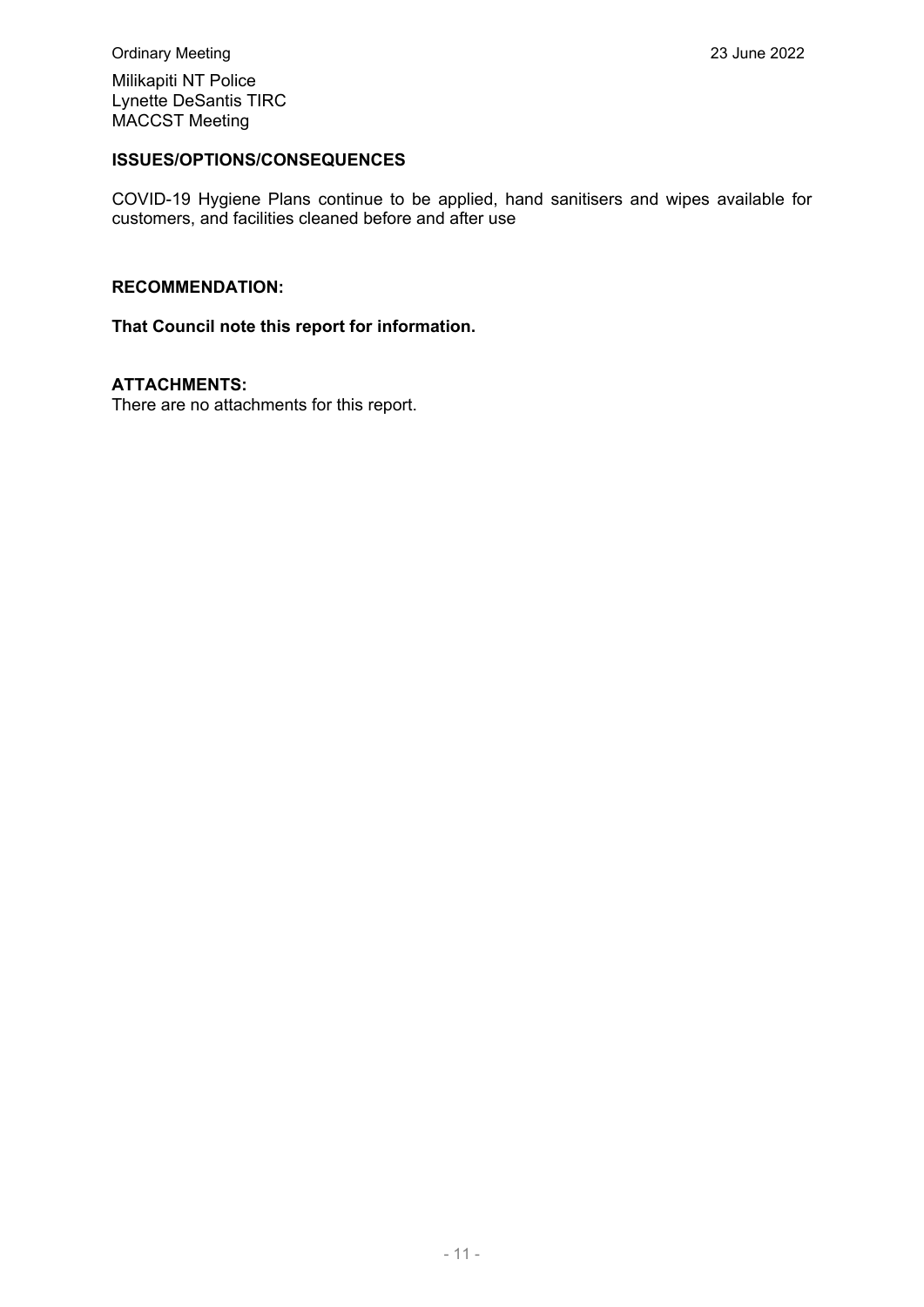Milikapiti NT Police Lynette DeSantis TIRC MACCST Meeting

#### **ISSUES/OPTIONS/CONSEQUENCES**

COVID-19 Hygiene Plans continue to be applied, hand sanitisers and wipes available for customers, and facilities cleaned before and after use

#### **RECOMMENDATION:**

#### **That Council note this report for information.**

#### **ATTACHMENTS:**

There are no attachments for this report.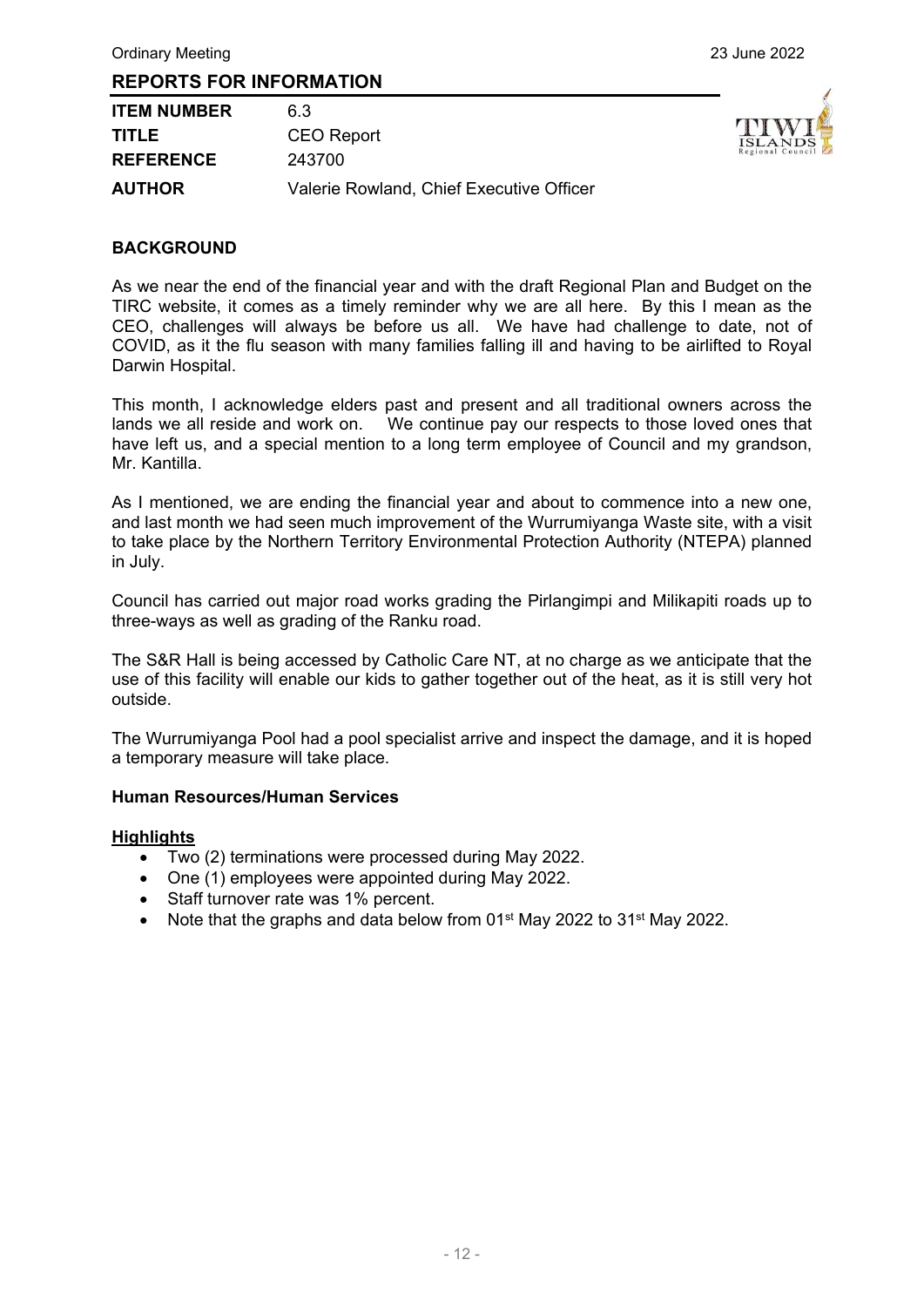| <b>ITEM NUMBER</b> | 63                                       |
|--------------------|------------------------------------------|
| <b>TITLE</b>       | <b>CEO Report</b>                        |
| <b>REFERENCE</b>   | 243700                                   |
| <b>AUTHOR</b>      | Valerie Rowland, Chief Executive Officer |



#### **BACKGROUND**

As we near the end of the financial year and with the draft Regional Plan and Budget on the TIRC website, it comes as a timely reminder why we are all here. By this I mean as the CEO, challenges will always be before us all. We have had challenge to date, not of COVID, as it the flu season with many families falling ill and having to be airlifted to Royal Darwin Hospital.

This month, I acknowledge elders past and present and all traditional owners across the lands we all reside and work on. We continue pay our respects to those loved ones that have left us, and a special mention to a long term employee of Council and my grandson, Mr. Kantilla.

As I mentioned, we are ending the financial year and about to commence into a new one, and last month we had seen much improvement of the Wurrumiyanga Waste site, with a visit to take place by the Northern Territory Environmental Protection Authority (NTEPA) planned in July.

Council has carried out major road works grading the Pirlangimpi and Milikapiti roads up to three-ways as well as grading of the Ranku road.

The S&R Hall is being accessed by Catholic Care NT, at no charge as we anticipate that the use of this facility will enable our kids to gather together out of the heat, as it is still very hot outside.

The Wurrumiyanga Pool had a pool specialist arrive and inspect the damage, and it is hoped a temporary measure will take place.

#### **Human Resources/Human Services**

#### **Highlights**

- Two (2) terminations were processed during May 2022.
- One (1) employees were appointed during May 2022.
- Staff turnover rate was 1% percent.
- Note that the graphs and data below from  $01<sup>st</sup>$  May 2022 to  $31<sup>st</sup>$  May 2022.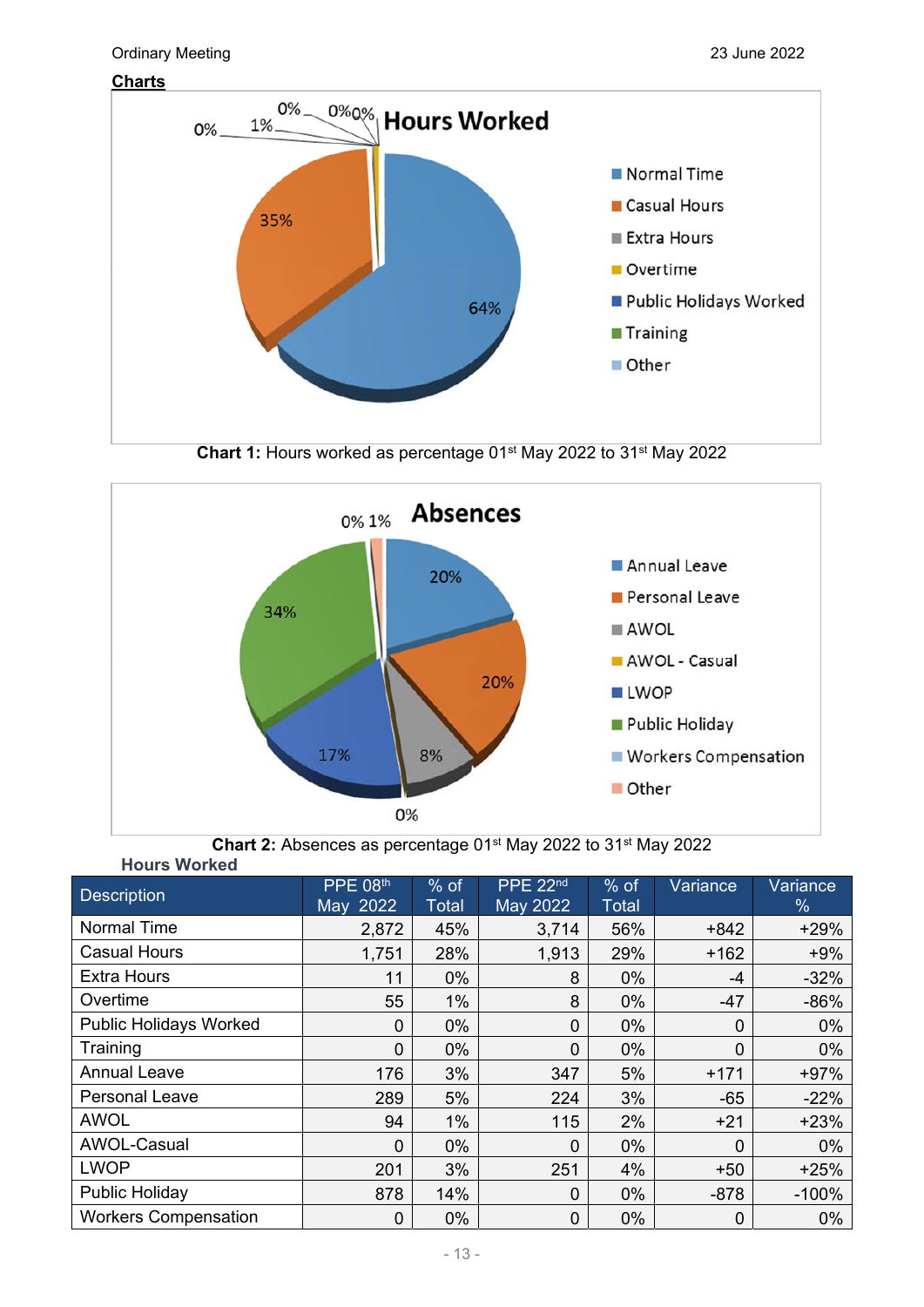

**Chart 1:** Hours worked as percentage 01<sup>st</sup> May 2022 to 31<sup>st</sup> May 2022





| <b>NUMB</b> WUINGU            |                 |              |          |              |                |          |
|-------------------------------|-----------------|--------------|----------|--------------|----------------|----------|
| <b>Description</b>            | <b>PPE 08th</b> | $%$ of       | PPE 22nd | $%$ of       | Variance       | Variance |
|                               | May 2022        | <b>Total</b> | May 2022 | <b>Total</b> |                | $\%$     |
| Normal Time                   | 2,872           | 45%          | 3,714    | 56%          | $+842$         | $+29%$   |
| <b>Casual Hours</b>           | 1,751           | 28%          | 1,913    | 29%          | $+162$         | $+9%$    |
| <b>Extra Hours</b>            | 11              | 0%           | 8        | 0%           | -4             | $-32%$   |
| Overtime                      | 55              | $1\%$        | 8        | 0%           | $-47$          | $-86%$   |
| <b>Public Holidays Worked</b> | $\overline{0}$  | 0%           | 0        | 0%           | $\mathbf 0$    | 0%       |
| Training                      | 0               | 0%           | 0        | 0%           | $\overline{0}$ | 0%       |
| <b>Annual Leave</b>           | 176             | 3%           | 347      | 5%           | $+171$         | $+97%$   |
| <b>Personal Leave</b>         | 289             | 5%           | 224      | 3%           | $-65$          | $-22%$   |
| <b>AWOL</b>                   | 94              | 1%           | 115      | 2%           | $+21$          | $+23%$   |
| AWOL-Casual                   | 0               | 0%           | 0        | 0%           | 0              | $0\%$    |
| <b>LWOP</b>                   | 201             | 3%           | 251      | 4%           | $+50$          | $+25%$   |
| Public Holiday                | 878             | 14%          | 0        | 0%           | $-878$         | $-100%$  |
| <b>Workers Compensation</b>   | 0               | $0\%$        | 0        | 0%           | $\mathbf 0$    | $0\%$    |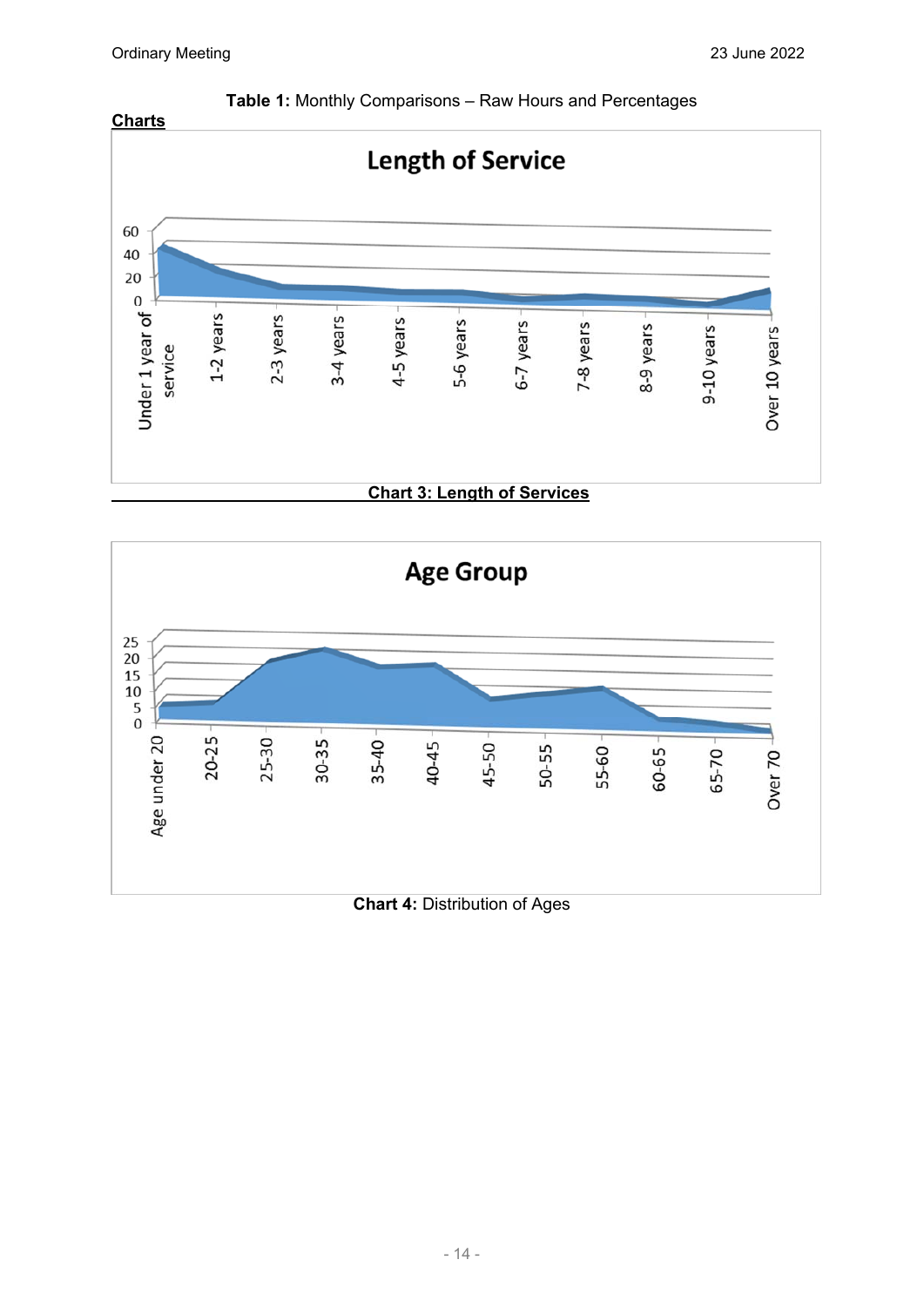



## **Chart 4:** Distribution of Ages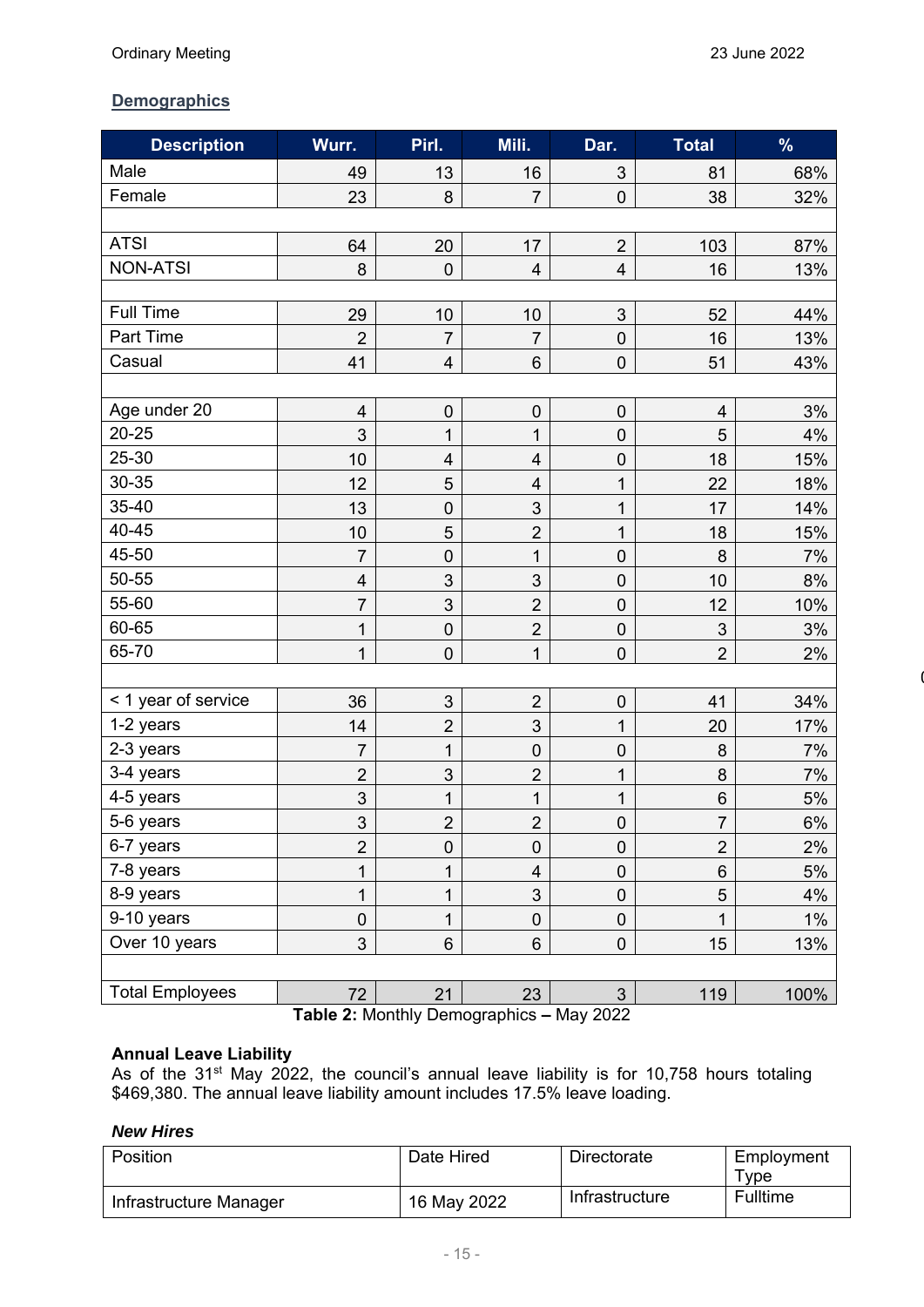$\overline{\phantom{a}}$ 

#### **Demographics**

| <b>Description</b>     | Wurr.                     | Pirl.                   | Mili.                   | Dar.                    | Total          | $\%$  |  |
|------------------------|---------------------------|-------------------------|-------------------------|-------------------------|----------------|-------|--|
| Male                   | 49                        | 13                      | 16                      | $\mathfrak{B}$          | 81             | 68%   |  |
| Female                 | 23                        | 8                       | $\overline{7}$          | $\pmb{0}$               | 38             | 32%   |  |
|                        |                           |                         |                         |                         |                |       |  |
| <b>ATSI</b>            | 64                        | 20                      | 17                      | $\overline{2}$          | 103            | 87%   |  |
| <b>NON-ATSI</b>        | 8                         | $\overline{0}$          | $\overline{\mathbf{r}}$ | $\overline{\mathbf{4}}$ | 16             | 13%   |  |
|                        |                           |                         |                         |                         |                |       |  |
| <b>Full Time</b>       | 29                        | 10                      | 10                      | $\sqrt{3}$              | 52             | 44%   |  |
| Part Time              | $\overline{2}$            | $\overline{7}$          | $\overline{7}$          | $\boldsymbol{0}$        | 16             | 13%   |  |
| Casual                 | 41                        | $\overline{\mathbf{4}}$ | $6\phantom{a}$          | $\boldsymbol{0}$        | 51             | 43%   |  |
|                        |                           |                         |                         |                         |                |       |  |
| Age under 20           | $\overline{\mathbf{4}}$   | $\pmb{0}$               | $\pmb{0}$               | $\pmb{0}$               | 4              | 3%    |  |
| 20-25                  | 3                         | 1                       | $\mathbf{1}$            | $\boldsymbol{0}$        | 5              | 4%    |  |
| 25-30                  | 10                        | $\overline{4}$          | $\overline{\mathbf{4}}$ | $\mathbf 0$             | 18             | 15%   |  |
| 30-35                  | 12                        | 5                       | $\overline{\mathbf{4}}$ | 1                       | 22             | 18%   |  |
| 35-40                  | 13                        | $\mathbf 0$             | 3                       | 1                       | 17             | 14%   |  |
| 40-45                  | 10                        | $\overline{5}$          | $\overline{2}$          | 1                       | 18             | 15%   |  |
| 45-50                  | $\overline{7}$            | $\pmb{0}$               | $\mathbf 1$             | $\boldsymbol{0}$        | 8              | 7%    |  |
| 50-55                  | 4                         | 3                       | 3                       | $\boldsymbol{0}$        | 10             | 8%    |  |
| 55-60                  | $\overline{7}$            | $\mathfrak{S}$          | $\overline{2}$          | $\mathbf 0$             | 12             | 10%   |  |
| 60-65                  | $\mathbf 1$               | $\pmb{0}$               | $\overline{2}$          | $\boldsymbol{0}$        | 3              | 3%    |  |
| 65-70                  | $\mathbf 1$               | $\boldsymbol{0}$        | $\mathbf{1}$            | $\boldsymbol{0}$        | $\overline{2}$ | 2%    |  |
|                        |                           |                         |                         |                         |                |       |  |
| < 1 year of service    | 36                        | $\sqrt{3}$              | $\overline{2}$          | $\pmb{0}$               | 41             | 34%   |  |
| 1-2 years              | 14                        | $\overline{2}$          | 3                       | 1                       | 20             | 17%   |  |
| 2-3 years              | $\overline{7}$            | 1                       | $\mathbf 0$             | $\boldsymbol{0}$        | 8              | 7%    |  |
| 3-4 years              | $\overline{2}$            | 3                       | $\overline{2}$          | 1                       | 8              | 7%    |  |
| 4-5 years              | $\ensuremath{\mathsf{3}}$ | 1                       | $\mathbf 1$             | 1                       | $\,6$          | 5%    |  |
| 5-6 years              | 3                         | $\overline{c}$          | $\overline{c}$          | $\pmb{0}$               | $\overline{7}$ | 6%    |  |
| 6-7 years              | $\overline{2}$            | $\boldsymbol{0}$        | $\pmb{0}$               | $\boldsymbol{0}$        | $\overline{2}$ | 2%    |  |
| 7-8 years              | $\mathbf 1$               | 1                       | $\overline{\mathbf{4}}$ | $\mathbf 0$             | $6\phantom{a}$ | 5%    |  |
| 8-9 years              | 1                         | 1                       | $\mathfrak{S}$          | $\pmb{0}$               | 5              | 4%    |  |
| 9-10 years             | $\pmb{0}$                 | 1                       | $\pmb{0}$               | $\pmb{0}$               | 1              | $1\%$ |  |
| Over 10 years          | 3                         | $6\phantom{a}$          | $6\phantom{1}$          | $\pmb{0}$               | 15             | 13%   |  |
|                        |                           |                         |                         |                         |                |       |  |
| <b>Total Employees</b> | 72                        | 21                      | 23                      | $\mathfrak{S}$          | 119            | 100%  |  |

**Table 2:** Monthly Demographics **–** May 2022

#### **Annual Leave Liability**

As of the 31<sup>st</sup> May 2022, the council's annual leave liability is for 10,758 hours totaling \$469,380. The annual leave liability amount includes 17.5% leave loading.

#### *New Hires*

| Position               | Date Hired  | Directorate    | Employment |  |
|------------------------|-------------|----------------|------------|--|
|                        |             |                | vpe        |  |
| Infrastructure Manager | 16 May 2022 | Infrastructure | Fulltime   |  |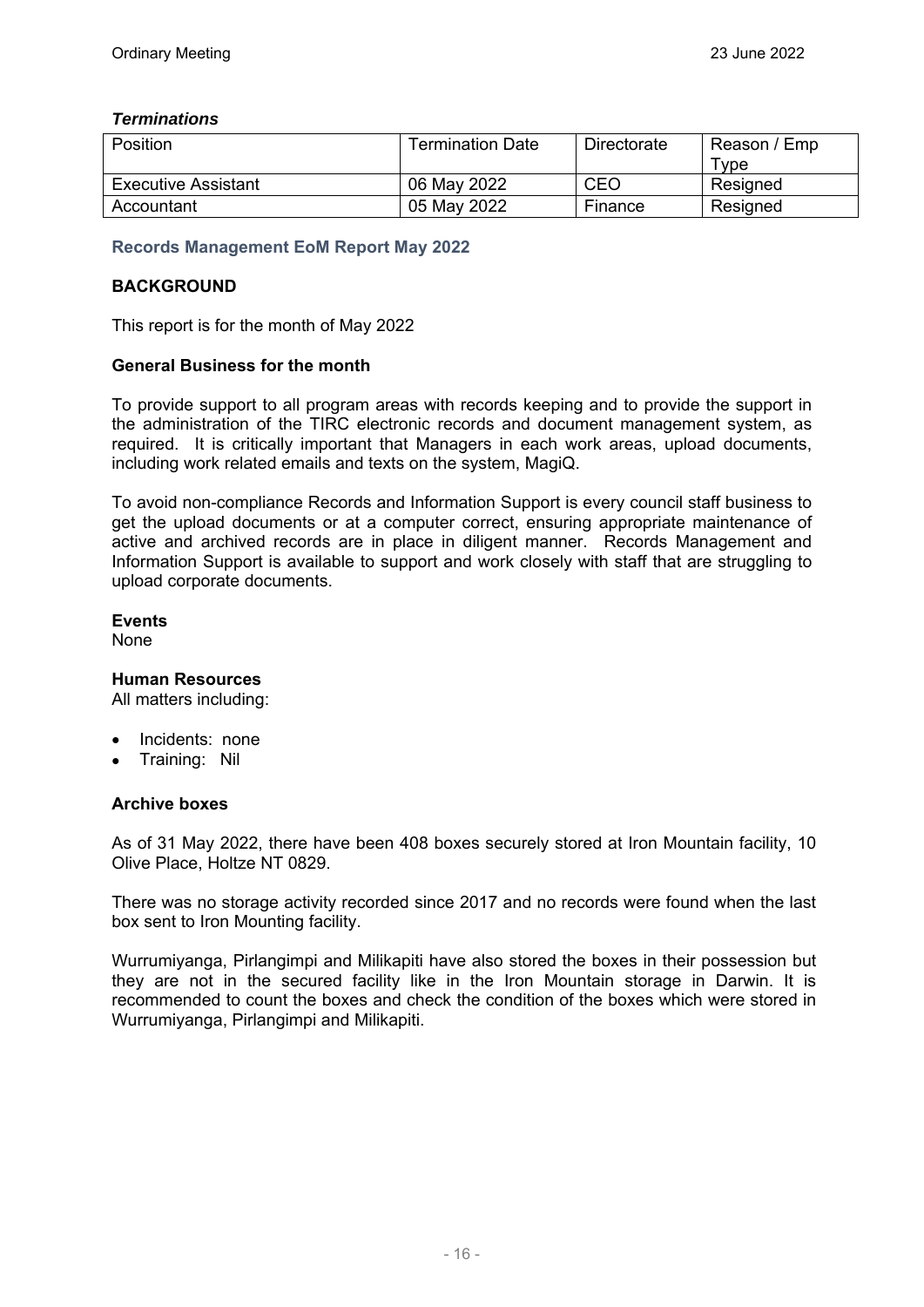#### *Terminations*

| Position                   | Termination Date | Directorate | Reason / Emp |  |
|----------------------------|------------------|-------------|--------------|--|
|                            |                  |             | $\tau$ vpe   |  |
| <b>Executive Assistant</b> | 06 May 2022      | CEO         | Resigned     |  |
| Accountant                 | 05 May 2022      | Finance     | Resigned     |  |

#### **Records Management EoM Report May 2022**

#### **BACKGROUND**

This report is for the month of May 2022

#### **General Business for the month**

To provide support to all program areas with records keeping and to provide the support in the administration of the TIRC electronic records and document management system, as required. It is critically important that Managers in each work areas, upload documents, including work related emails and texts on the system, MagiQ.

To avoid non-compliance Records and Information Support is every council staff business to get the upload documents or at a computer correct, ensuring appropriate maintenance of active and archived records are in place in diligent manner. Records Management and Information Support is available to support and work closely with staff that are struggling to upload corporate documents.

#### **Events**

None

#### **Human Resources**

All matters including:

- Incidents: none
- Training: Nil

#### **Archive boxes**

As of 31 May 2022, there have been 408 boxes securely stored at Iron Mountain facility, 10 Olive Place, Holtze NT 0829.

There was no storage activity recorded since 2017 and no records were found when the last box sent to Iron Mounting facility.

Wurrumiyanga, Pirlangimpi and Milikapiti have also stored the boxes in their possession but they are not in the secured facility like in the Iron Mountain storage in Darwin. It is recommended to count the boxes and check the condition of the boxes which were stored in Wurrumiyanga, Pirlangimpi and Milikapiti.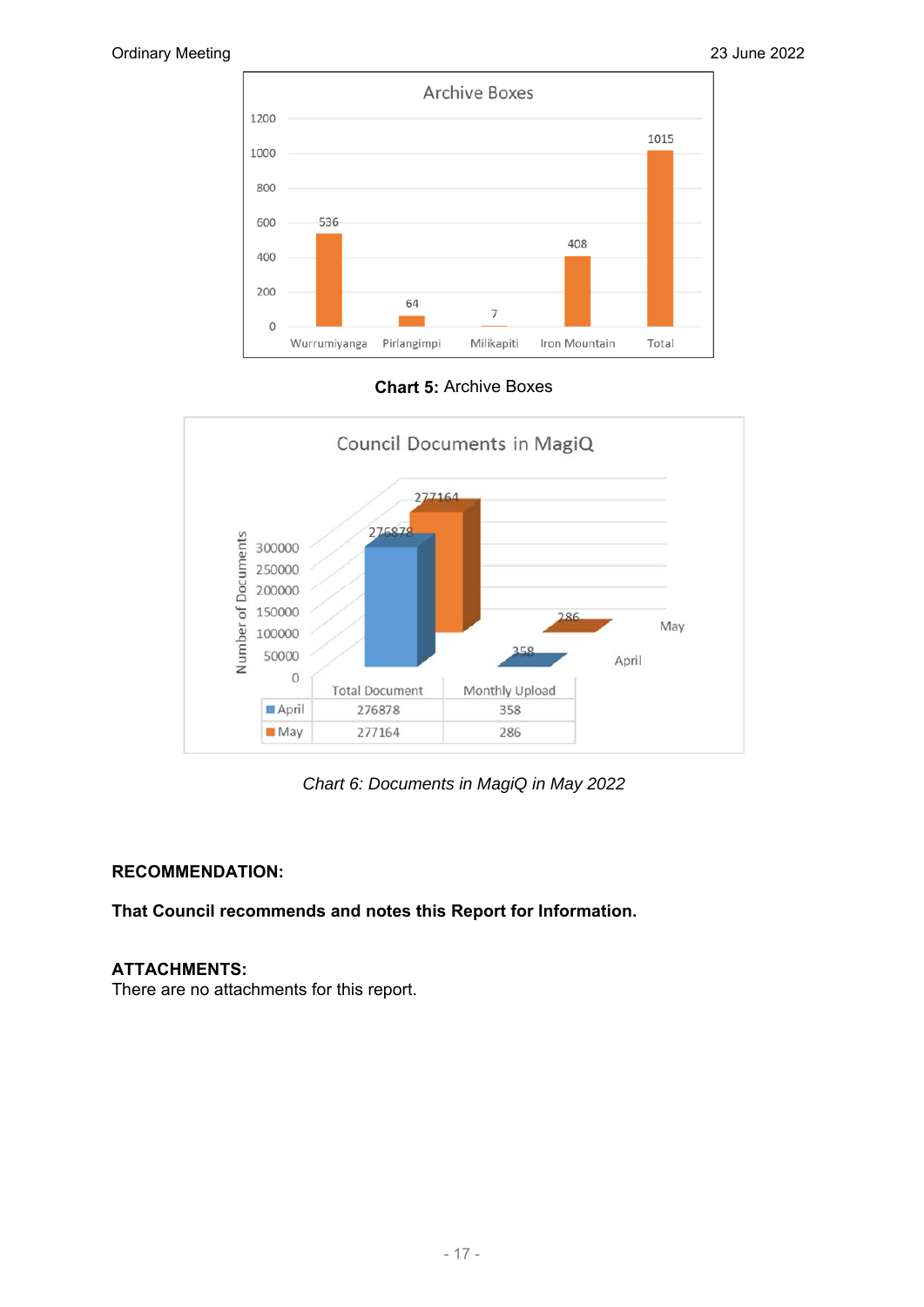

**Chart 5:** Archive Boxes



*Chart 6: Documents in MagiQ in May 2022* 

#### **RECOMMENDATION:**

**That Council recommends and notes this Report for Information.** 

#### **ATTACHMENTS:**

There are no attachments for this report.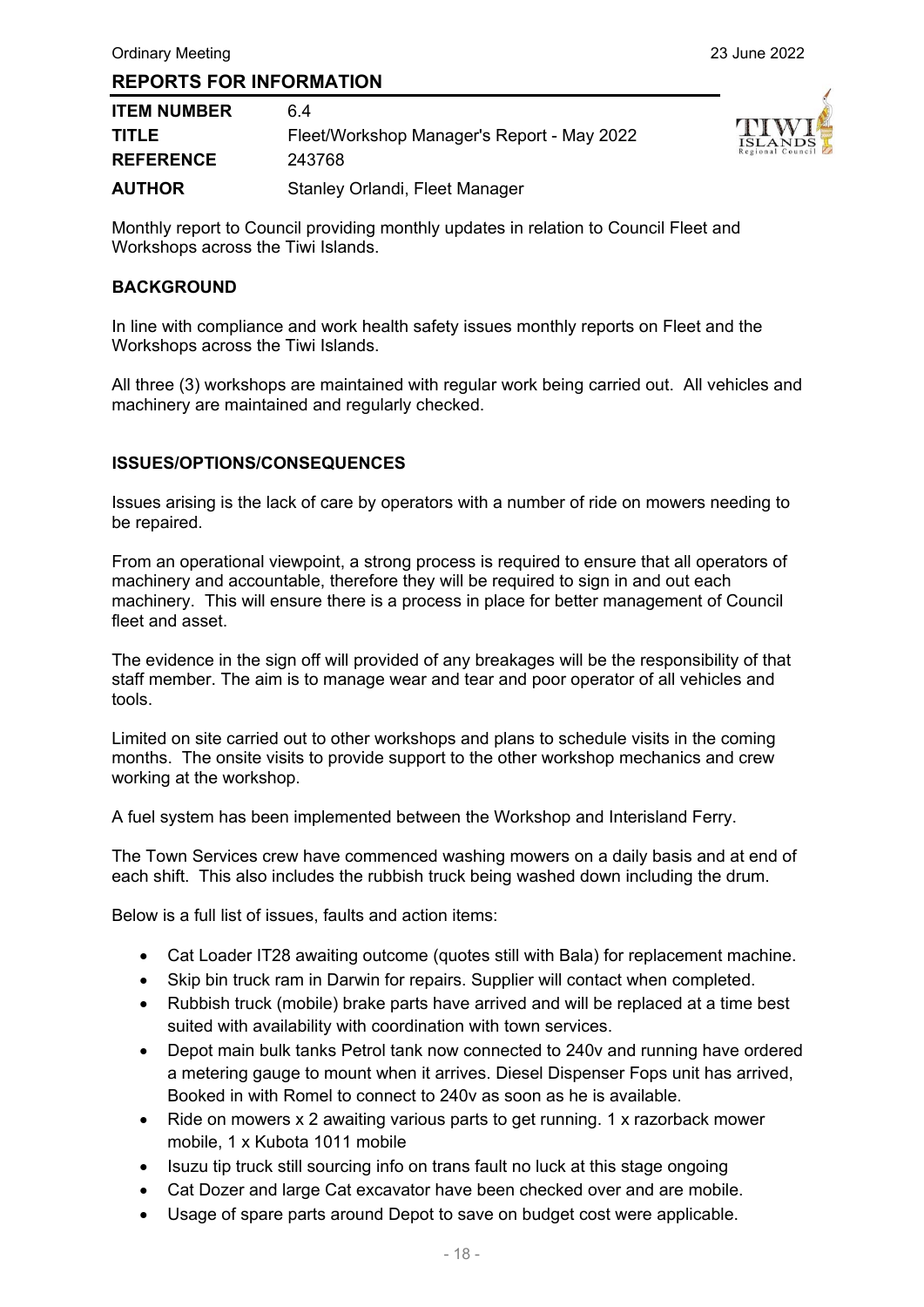| <b>ITEM NUMBER</b> | 6 4                                        |
|--------------------|--------------------------------------------|
| <b>TITLE</b>       | Fleet/Workshop Manager's Report - May 2022 |
| <b>REFERENCE</b>   | 243768                                     |
| <b>AUTHOR</b>      | Stanley Orlandi, Fleet Manager             |



Monthly report to Council providing monthly updates in relation to Council Fleet and Workshops across the Tiwi Islands.

#### **BACKGROUND**

In line with compliance and work health safety issues monthly reports on Fleet and the Workshops across the Tiwi Islands.

All three (3) workshops are maintained with regular work being carried out. All vehicles and machinery are maintained and regularly checked.

#### **ISSUES/OPTIONS/CONSEQUENCES**

Issues arising is the lack of care by operators with a number of ride on mowers needing to be repaired.

From an operational viewpoint, a strong process is required to ensure that all operators of machinery and accountable, therefore they will be required to sign in and out each machinery. This will ensure there is a process in place for better management of Council fleet and asset.

The evidence in the sign off will provided of any breakages will be the responsibility of that staff member. The aim is to manage wear and tear and poor operator of all vehicles and tools.

Limited on site carried out to other workshops and plans to schedule visits in the coming months. The onsite visits to provide support to the other workshop mechanics and crew working at the workshop.

A fuel system has been implemented between the Workshop and Interisland Ferry.

The Town Services crew have commenced washing mowers on a daily basis and at end of each shift. This also includes the rubbish truck being washed down including the drum.

Below is a full list of issues, faults and action items:

- Cat Loader IT28 awaiting outcome (quotes still with Bala) for replacement machine.
- Skip bin truck ram in Darwin for repairs. Supplier will contact when completed.
- Rubbish truck (mobile) brake parts have arrived and will be replaced at a time best suited with availability with coordination with town services.
- Depot main bulk tanks Petrol tank now connected to 240v and running have ordered a metering gauge to mount when it arrives. Diesel Dispenser Fops unit has arrived, Booked in with Romel to connect to 240v as soon as he is available.
- Ride on mowers x 2 awaiting various parts to get running. 1 x razorback mower mobile, 1 x Kubota 1011 mobile
- Isuzu tip truck still sourcing info on trans fault no luck at this stage ongoing
- Cat Dozer and large Cat excavator have been checked over and are mobile.
- Usage of spare parts around Depot to save on budget cost were applicable.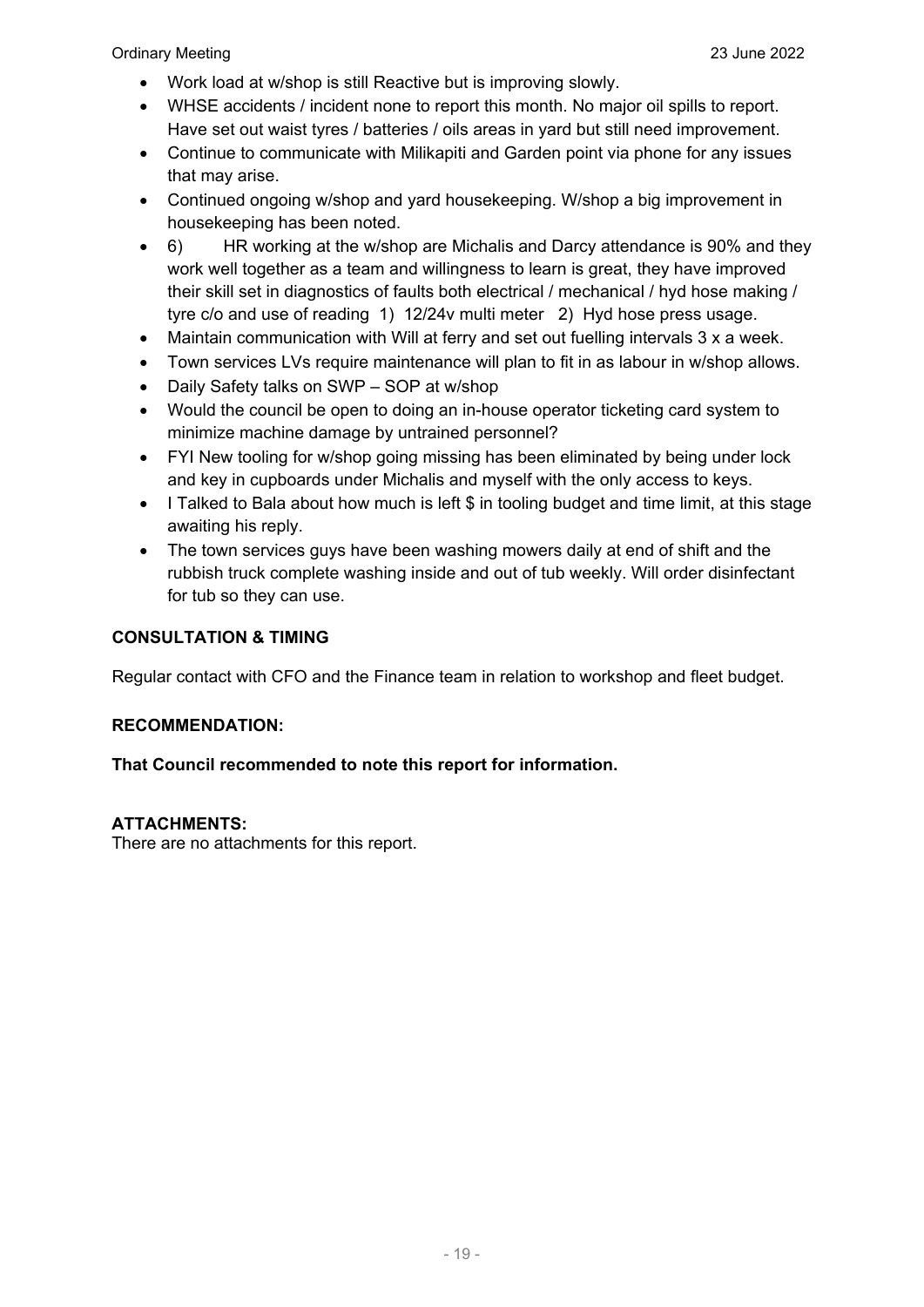- Work load at w/shop is still Reactive but is improving slowly.
- WHSE accidents / incident none to report this month. No major oil spills to report. Have set out waist tyres / batteries / oils areas in yard but still need improvement.
- Continue to communicate with Milikapiti and Garden point via phone for any issues that may arise.
- Continued ongoing w/shop and yard housekeeping. W/shop a big improvement in housekeeping has been noted.
- 6) HR working at the w/shop are Michalis and Darcy attendance is 90% and they work well together as a team and willingness to learn is great, they have improved their skill set in diagnostics of faults both electrical / mechanical / hyd hose making / tyre c/o and use of reading 1) 12/24v multi meter 2) Hyd hose press usage.
- Maintain communication with Will at ferry and set out fuelling intervals 3 x a week.
- Town services LVs require maintenance will plan to fit in as labour in w/shop allows.
- Daily Safety talks on SWP SOP at w/shop
- Would the council be open to doing an in-house operator ticketing card system to minimize machine damage by untrained personnel?
- FYI New tooling for w/shop going missing has been eliminated by being under lock and key in cupboards under Michalis and myself with the only access to keys.
- I Talked to Bala about how much is left \$ in tooling budget and time limit, at this stage awaiting his reply.
- The town services guys have been washing mowers daily at end of shift and the rubbish truck complete washing inside and out of tub weekly. Will order disinfectant for tub so they can use.

#### **CONSULTATION & TIMING**

Regular contact with CFO and the Finance team in relation to workshop and fleet budget.

#### **RECOMMENDATION:**

#### **That Council recommended to note this report for information.**

#### **ATTACHMENTS:**

There are no attachments for this report.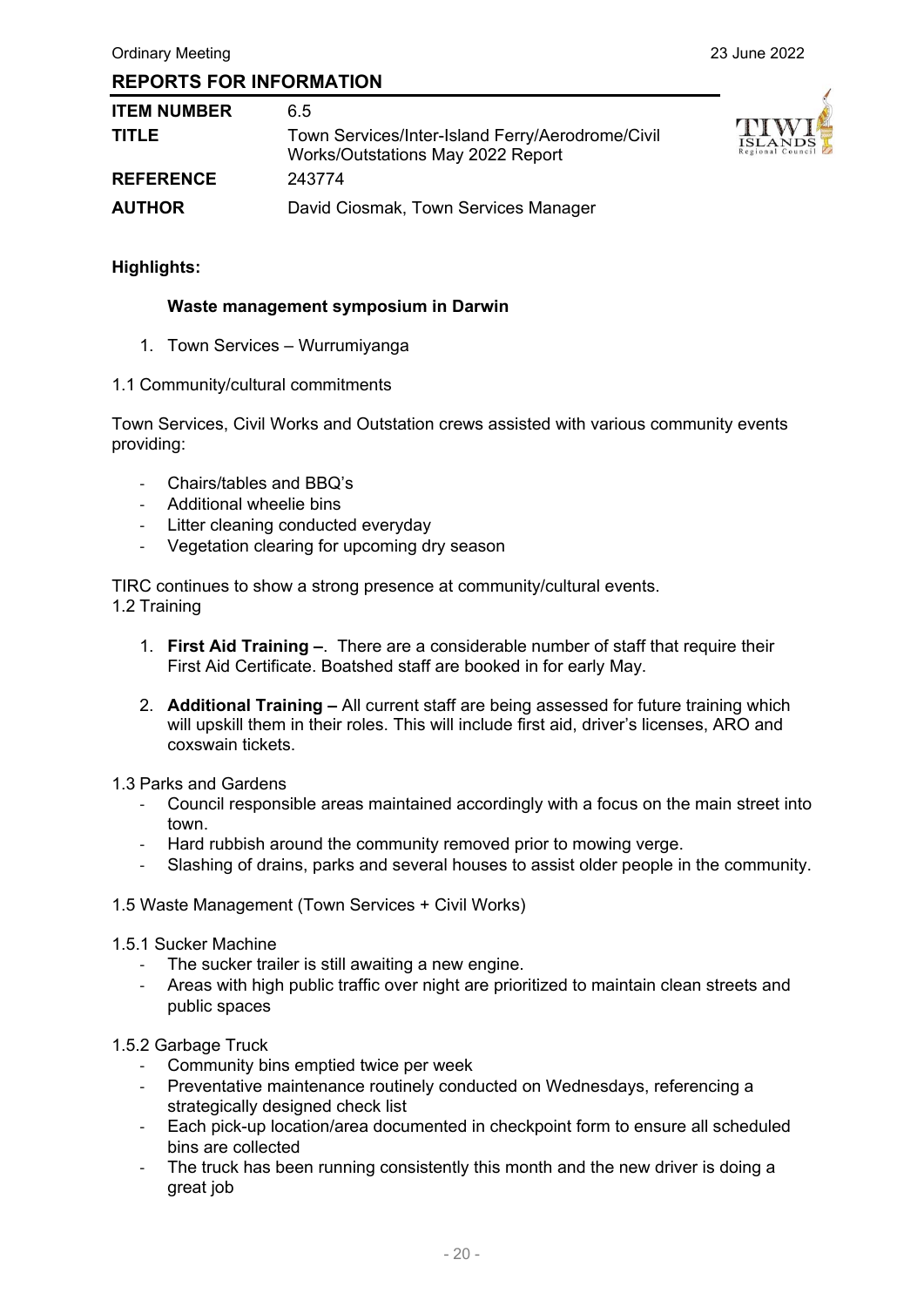| <b>ITEM NUMBER</b> | 6.5                                                                                   |
|--------------------|---------------------------------------------------------------------------------------|
| <b>TITLE</b>       | Town Services/Inter-Island Ferry/Aerodrome/Civil<br>Works/Outstations May 2022 Report |
| <b>REFERENCE</b>   | 243774                                                                                |
| <b>AUTHOR</b>      | David Ciosmak, Town Services Manager                                                  |



#### **Highlights:**

#### **Waste management symposium in Darwin**

- 1. Town Services Wurrumiyanga
- 1.1 Community/cultural commitments

Town Services, Civil Works and Outstation crews assisted with various community events providing:

- ‐ Chairs/tables and BBQ's
- ‐ Additional wheelie bins
- Litter cleaning conducted everyday
- ‐ Vegetation clearing for upcoming dry season

TIRC continues to show a strong presence at community/cultural events. 1.2 Training

- 1. **First Aid Training –**. There are a considerable number of staff that require their First Aid Certificate. Boatshed staff are booked in for early May.
- 2. **Additional Training** All current staff are being assessed for future training which will upskill them in their roles. This will include first aid, driver's licenses, ARO and coxswain tickets.
- 1.3 Parks and Gardens
	- ‐ Council responsible areas maintained accordingly with a focus on the main street into town.
	- Hard rubbish around the community removed prior to mowing verge.
	- Slashing of drains, parks and several houses to assist older people in the community.
- 1.5 Waste Management (Town Services + Civil Works)
- 1.5.1 Sucker Machine
	- The sucker trailer is still awaiting a new engine.
	- ‐ Areas with high public traffic over night are prioritized to maintain clean streets and public spaces

#### 1.5.2 Garbage Truck

- Community bins emptied twice per week
- ‐ Preventative maintenance routinely conducted on Wednesdays, referencing a strategically designed check list
- ‐ Each pick-up location/area documented in checkpoint form to ensure all scheduled bins are collected
- The truck has been running consistently this month and the new driver is doing a great job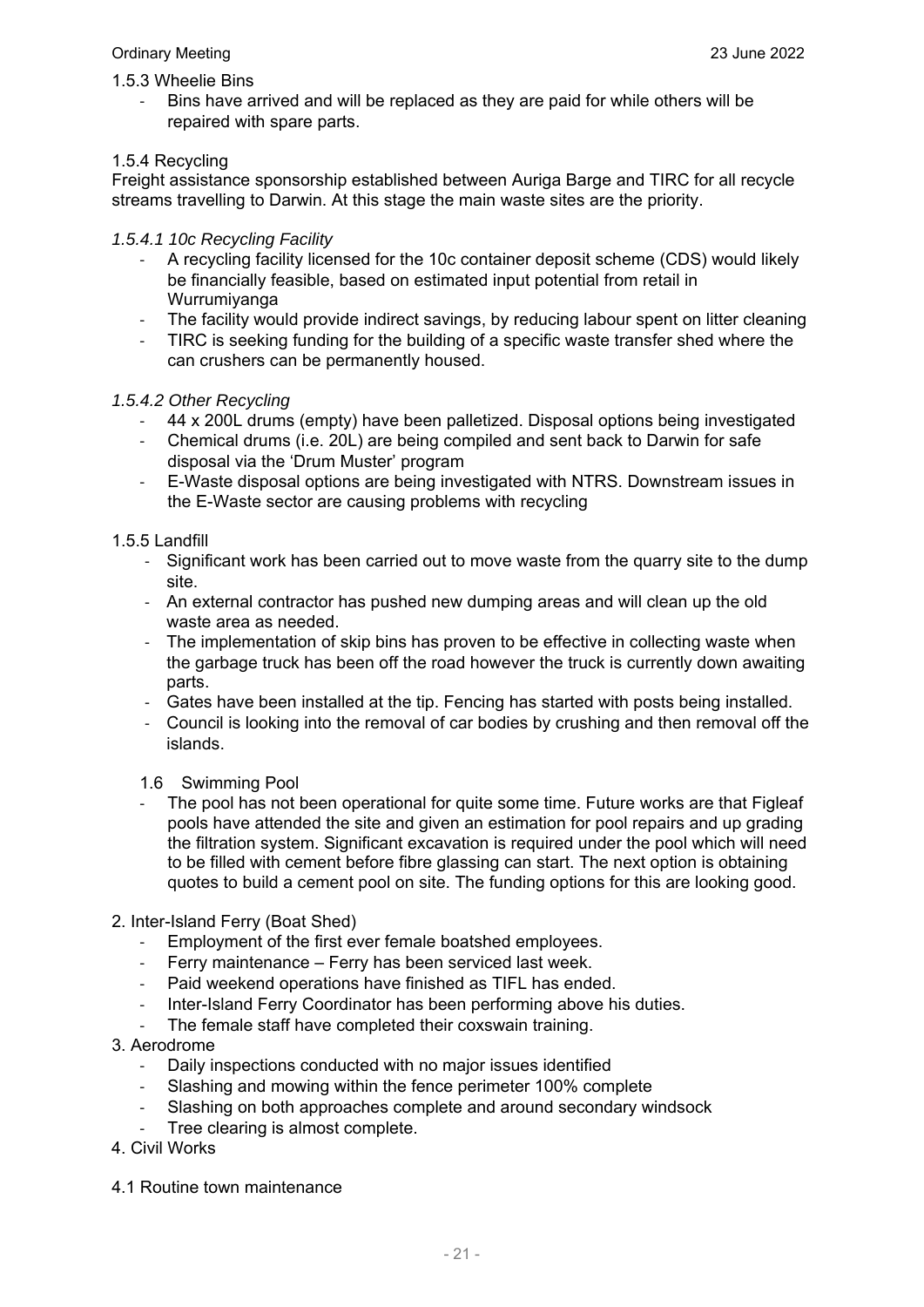#### Ordinary Meeting 23 June 2022

#### 1.5.3 Wheelie Bins

‐ Bins have arrived and will be replaced as they are paid for while others will be repaired with spare parts.

#### 1.5.4 Recycling

Freight assistance sponsorship established between Auriga Barge and TIRC for all recycle streams travelling to Darwin. At this stage the main waste sites are the priority.

#### *1.5.4.1 10c Recycling Facility*

- ‐ A recycling facility licensed for the 10c container deposit scheme (CDS) would likely be financially feasible, based on estimated input potential from retail in Wurrumiyanga
- The facility would provide indirect savings, by reducing labour spent on litter cleaning
- ‐ TIRC is seeking funding for the building of a specific waste transfer shed where the can crushers can be permanently housed.

#### *1.5.4.2 Other Recycling*

- ‐ 44 x 200L drums (empty) have been palletized. Disposal options being investigated
- ‐ Chemical drums (i.e. 20L) are being compiled and sent back to Darwin for safe disposal via the 'Drum Muster' program
- ‐ E-Waste disposal options are being investigated with NTRS. Downstream issues in the E-Waste sector are causing problems with recycling

#### 1.5.5 Landfill

- ‐ Significant work has been carried out to move waste from the quarry site to the dump site.
- ‐ An external contractor has pushed new dumping areas and will clean up the old waste area as needed.
- ‐ The implementation of skip bins has proven to be effective in collecting waste when the garbage truck has been off the road however the truck is currently down awaiting parts.
- ‐ Gates have been installed at the tip. Fencing has started with posts being installed.
- ‐ Council is looking into the removal of car bodies by crushing and then removal off the islands.
- 1.6 Swimming Pool
- The pool has not been operational for quite some time. Future works are that Figleaf pools have attended the site and given an estimation for pool repairs and up grading the filtration system. Significant excavation is required under the pool which will need to be filled with cement before fibre glassing can start. The next option is obtaining quotes to build a cement pool on site. The funding options for this are looking good.
- 2. Inter-Island Ferry (Boat Shed)
	- Employment of the first ever female boatshed employees.
	- ‐ Ferry maintenance Ferry has been serviced last week.
	- Paid weekend operations have finished as TIFL has ended.
	- ‐ Inter-Island Ferry Coordinator has been performing above his duties.
	- The female staff have completed their coxswain training.

#### 3. Aerodrome

- ‐ Daily inspections conducted with no major issues identified
- Slashing and mowing within the fence perimeter 100% complete
- Slashing on both approaches complete and around secondary windsock
- Tree clearing is almost complete.
- 4. Civil Works
- 4.1 Routine town maintenance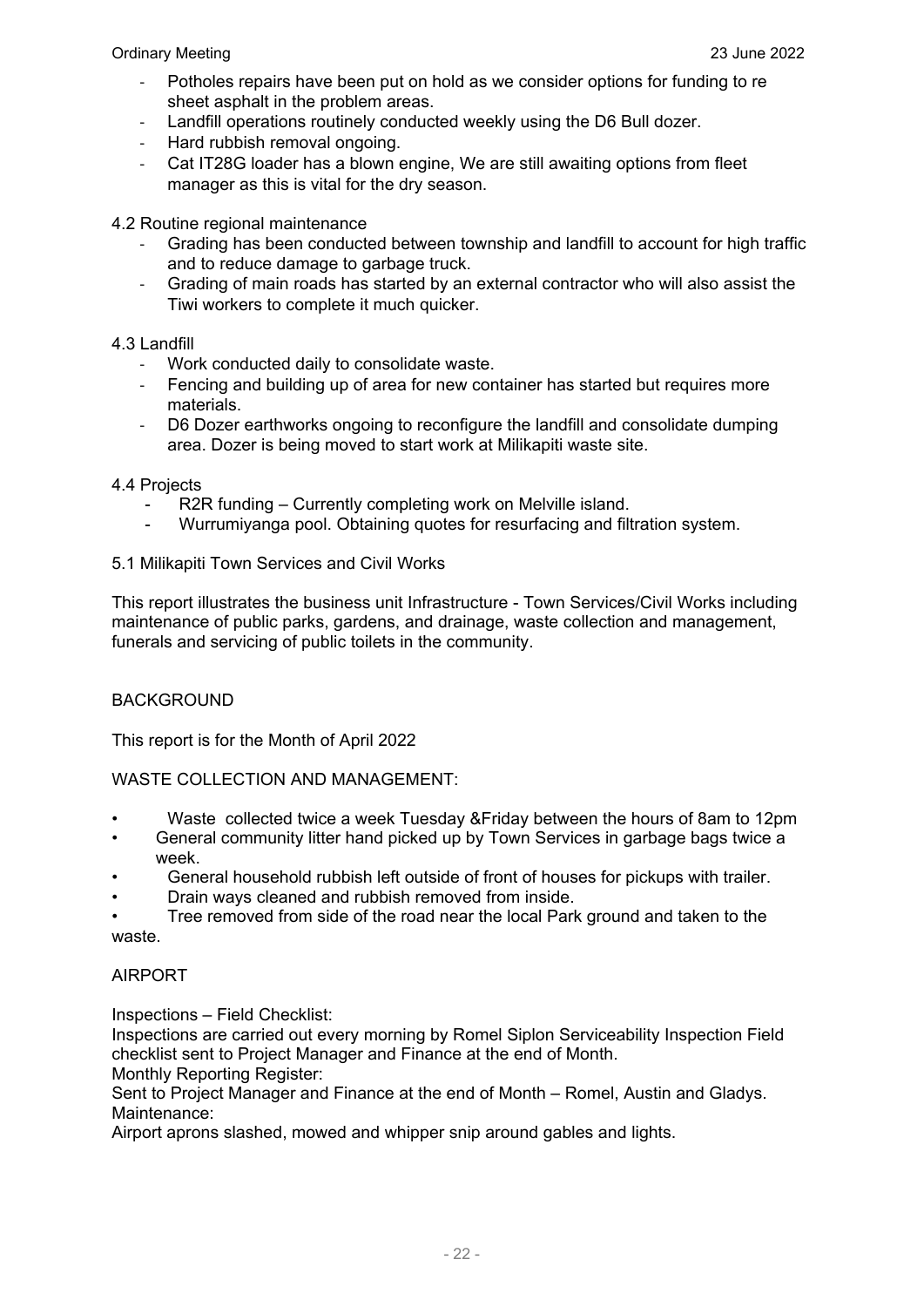#### Ordinary Meeting 23 June 2022

- ‐ Potholes repairs have been put on hold as we consider options for funding to re sheet asphalt in the problem areas.
- Landfill operations routinely conducted weekly using the D6 Bull dozer.
- ‐ Hard rubbish removal ongoing.
- Cat IT28G loader has a blown engine, We are still awaiting options from fleet manager as this is vital for the dry season.

4.2 Routine regional maintenance

- ‐ Grading has been conducted between township and landfill to account for high traffic and to reduce damage to garbage truck.
- ‐ Grading of main roads has started by an external contractor who will also assist the Tiwi workers to complete it much quicker.

#### 4.3 Landfill

- ‐ Work conducted daily to consolidate waste.
- ‐ Fencing and building up of area for new container has started but requires more materials.
- ‐ D6 Dozer earthworks ongoing to reconfigure the landfill and consolidate dumping area. Dozer is being moved to start work at Milikapiti waste site.

#### 4.4 Projects

- R2R funding Currently completing work on Melville island.
- Wurrumiyanga pool. Obtaining quotes for resurfacing and filtration system.

#### 5.1 Milikapiti Town Services and Civil Works

This report illustrates the business unit Infrastructure - Town Services/Civil Works including maintenance of public parks, gardens, and drainage, waste collection and management, funerals and servicing of public toilets in the community.

#### BACKGROUND

This report is for the Month of April 2022

#### WASTE COLLECTION AND MANAGEMENT:

- Waste collected twice a week Tuesday &Friday between the hours of 8am to 12pm
- General community litter hand picked up by Town Services in garbage bags twice a week.
- General household rubbish left outside of front of houses for pickups with trailer.
- Drain ways cleaned and rubbish removed from inside.
- Tree removed from side of the road near the local Park ground and taken to the waste.

#### AIRPORT

Inspections – Field Checklist:

Inspections are carried out every morning by Romel Siplon Serviceability Inspection Field checklist sent to Project Manager and Finance at the end of Month.

Monthly Reporting Register:

Sent to Project Manager and Finance at the end of Month – Romel, Austin and Gladys. Maintenance:

Airport aprons slashed, mowed and whipper snip around gables and lights.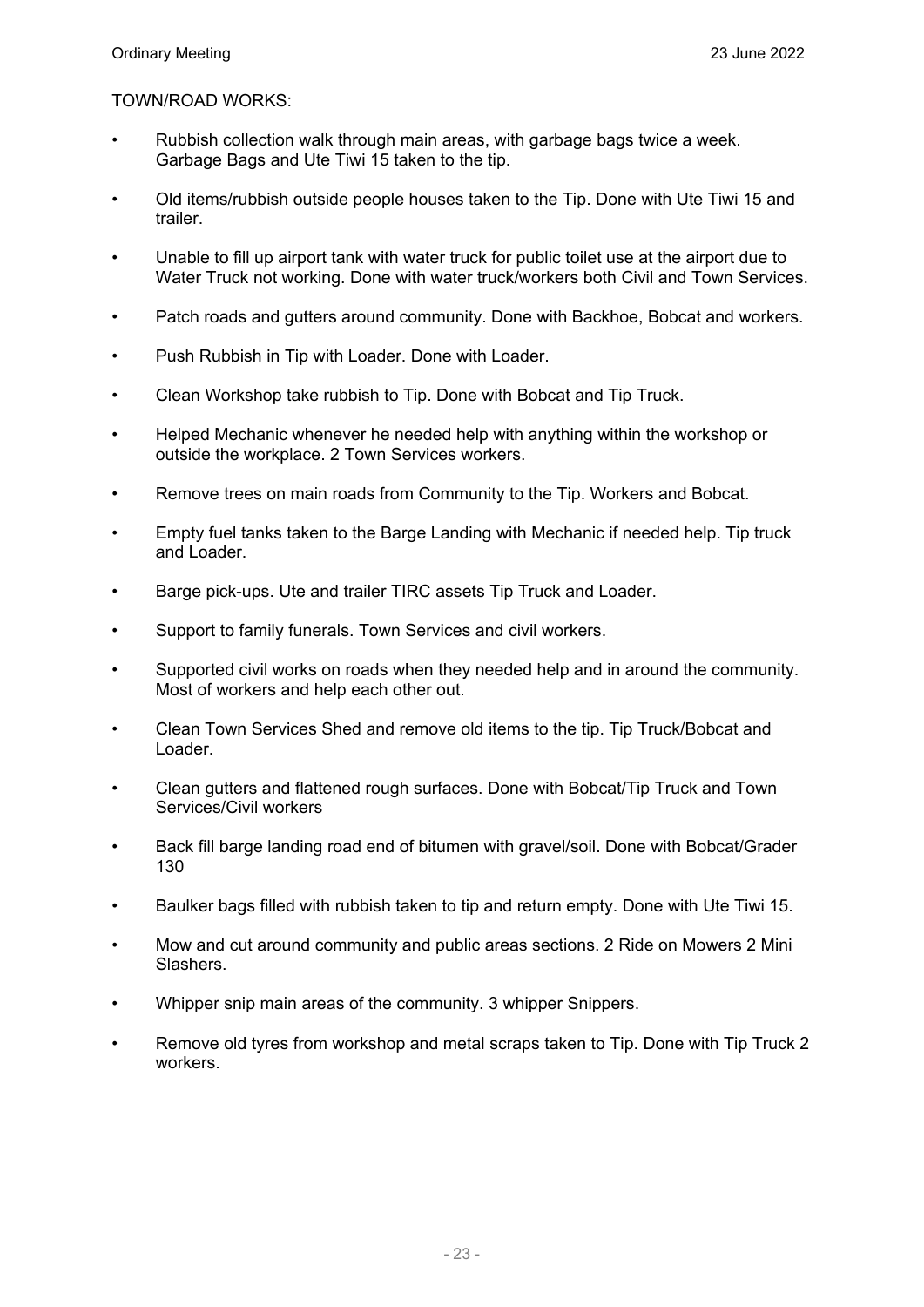#### TOWN/ROAD WORKS:

- Rubbish collection walk through main areas, with garbage bags twice a week. Garbage Bags and Ute Tiwi 15 taken to the tip.
- Old items/rubbish outside people houses taken to the Tip. Done with Ute Tiwi 15 and trailer.
- Unable to fill up airport tank with water truck for public toilet use at the airport due to Water Truck not working. Done with water truck/workers both Civil and Town Services.
- Patch roads and gutters around community. Done with Backhoe, Bobcat and workers.
- Push Rubbish in Tip with Loader. Done with Loader.
- Clean Workshop take rubbish to Tip. Done with Bobcat and Tip Truck.
- Helped Mechanic whenever he needed help with anything within the workshop or outside the workplace. 2 Town Services workers.
- Remove trees on main roads from Community to the Tip. Workers and Bobcat.
- Empty fuel tanks taken to the Barge Landing with Mechanic if needed help. Tip truck and Loader.
- Barge pick-ups. Ute and trailer TIRC assets Tip Truck and Loader.
- Support to family funerals. Town Services and civil workers.
- Supported civil works on roads when they needed help and in around the community. Most of workers and help each other out.
- Clean Town Services Shed and remove old items to the tip. Tip Truck/Bobcat and Loader.
- Clean gutters and flattened rough surfaces. Done with Bobcat/Tip Truck and Town Services/Civil workers
- Back fill barge landing road end of bitumen with gravel/soil. Done with Bobcat/Grader 130
- Baulker bags filled with rubbish taken to tip and return empty. Done with Ute Tiwi 15.
- Mow and cut around community and public areas sections. 2 Ride on Mowers 2 Mini Slashers.
- Whipper snip main areas of the community. 3 whipper Snippers.
- Remove old tyres from workshop and metal scraps taken to Tip. Done with Tip Truck 2 workers.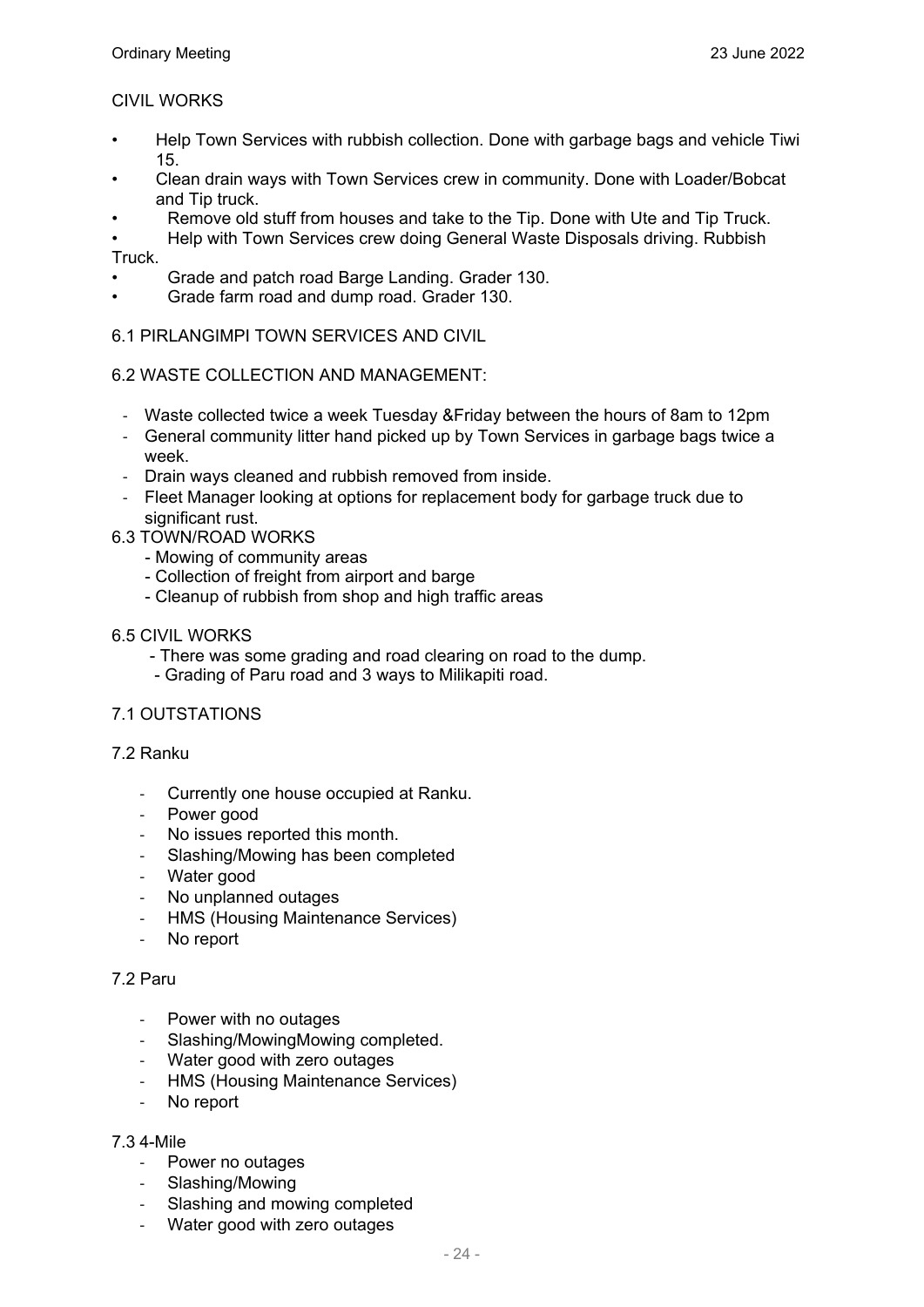### CIVIL WORKS

- Help Town Services with rubbish collection. Done with garbage bags and vehicle Tiwi 15.
- Clean drain ways with Town Services crew in community. Done with Loader/Bobcat and Tip truck.
- Remove old stuff from houses and take to the Tip. Done with Ute and Tip Truck.
- Help with Town Services crew doing General Waste Disposals driving. Rubbish Truck.
- Grade and patch road Barge Landing. Grader 130.
- Grade farm road and dump road. Grader 130.

#### 6.1 PIRLANGIMPI TOWN SERVICES AND CIVIL

#### 6.2 WASTE COLLECTION AND MANAGEMENT:

- ‐ Waste collected twice a week Tuesday &Friday between the hours of 8am to 12pm
- ‐ General community litter hand picked up by Town Services in garbage bags twice a week.
- ‐ Drain ways cleaned and rubbish removed from inside.
- ‐ Fleet Manager looking at options for replacement body for garbage truck due to significant rust.
- 6.3 TOWN/ROAD WORKS
	- Mowing of community areas
	- Collection of freight from airport and barge
	- Cleanup of rubbish from shop and high traffic areas

#### 6.5 CIVIL WORKS

- There was some grading and road clearing on road to the dump.
- Grading of Paru road and 3 ways to Milikapiti road.

#### 7.1 OUTSTATIONS

#### 7.2 Ranku

- ‐ Currently one house occupied at Ranku.
- ‐ Power good
- No issues reported this month.
- ‐ Slashing/Mowing has been completed
- Water good
- No unplanned outages
- ‐ HMS (Housing Maintenance Services)
- No report

#### 7.2 Paru

- Power with no outages
- ‐ Slashing/MowingMowing completed.
- ‐ Water good with zero outages
- **HMS (Housing Maintenance Services)**
- ‐ No report

#### 7.3 4-Mile

- ‐ Power no outages
- ‐ Slashing/Mowing
- Slashing and mowing completed
- Water good with zero outages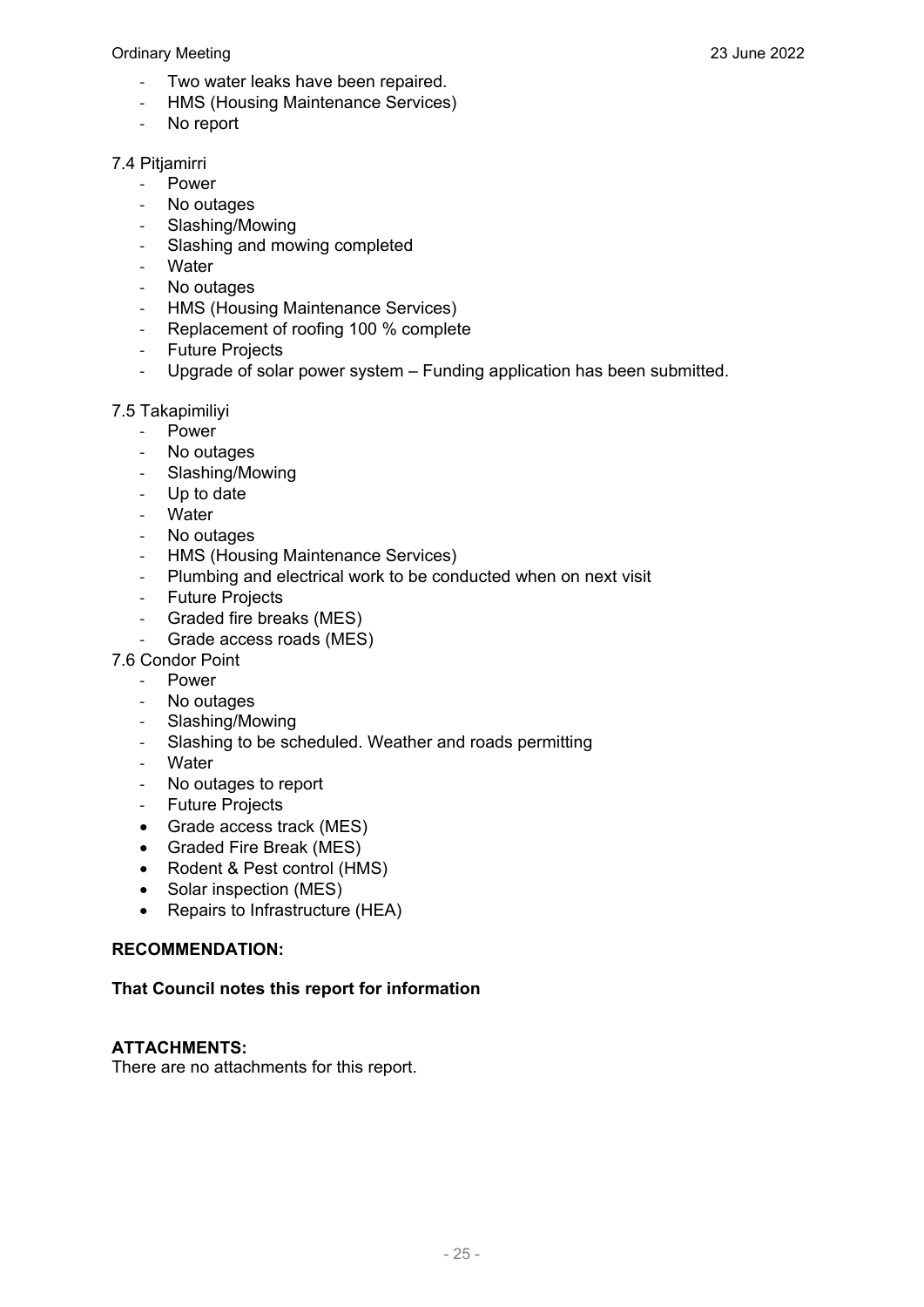#### Ordinary Meeting 23 June 2022

- ‐ Two water leaks have been repaired.
- ‐ HMS (Housing Maintenance Services)
- ‐ No report

#### 7.4 Pitjamirri

- ‐ Power
- ‐ No outages
- ‐ Slashing/Mowing
- ‐ Slashing and mowing completed
- ‐ Water
- No outages
- 
- HMS (Housing Maintenance Services)<br>- Replacement of roofing 100 % complet ‐ Replacement of roofing 100 % complete
- ‐ Future Projects
- ‐ Upgrade of solar power system Funding application has been submitted.

#### 7.5 Takapimiliyi

- ‐ Power
- ‐ No outages
- ‐ Slashing/Mowing
- ‐ Up to date
- ‐ Water
- ‐ No outages
- ‐ HMS (Housing Maintenance Services)
- ‐ Plumbing and electrical work to be conducted when on next visit
- ‐ Future Projects
- ‐ Graded fire breaks (MES)
- Grade access roads (MES)
- 7.6 Condor Point
	- ‐ Power
	- ‐ No outages
	- ‐ Slashing/Mowing
	- ‐ Slashing to be scheduled. Weather and roads permitting
	- ‐ Water
	- ‐ No outages to report
	- ‐ Future Projects
	- Grade access track (MES)
	- Graded Fire Break (MES)
	- Rodent & Pest control (HMS)
	- Solar inspection (MES)
	- Repairs to Infrastructure (HEA)

#### **RECOMMENDATION:**

#### **That Council notes this report for information**

#### **ATTACHMENTS:**

There are no attachments for this report.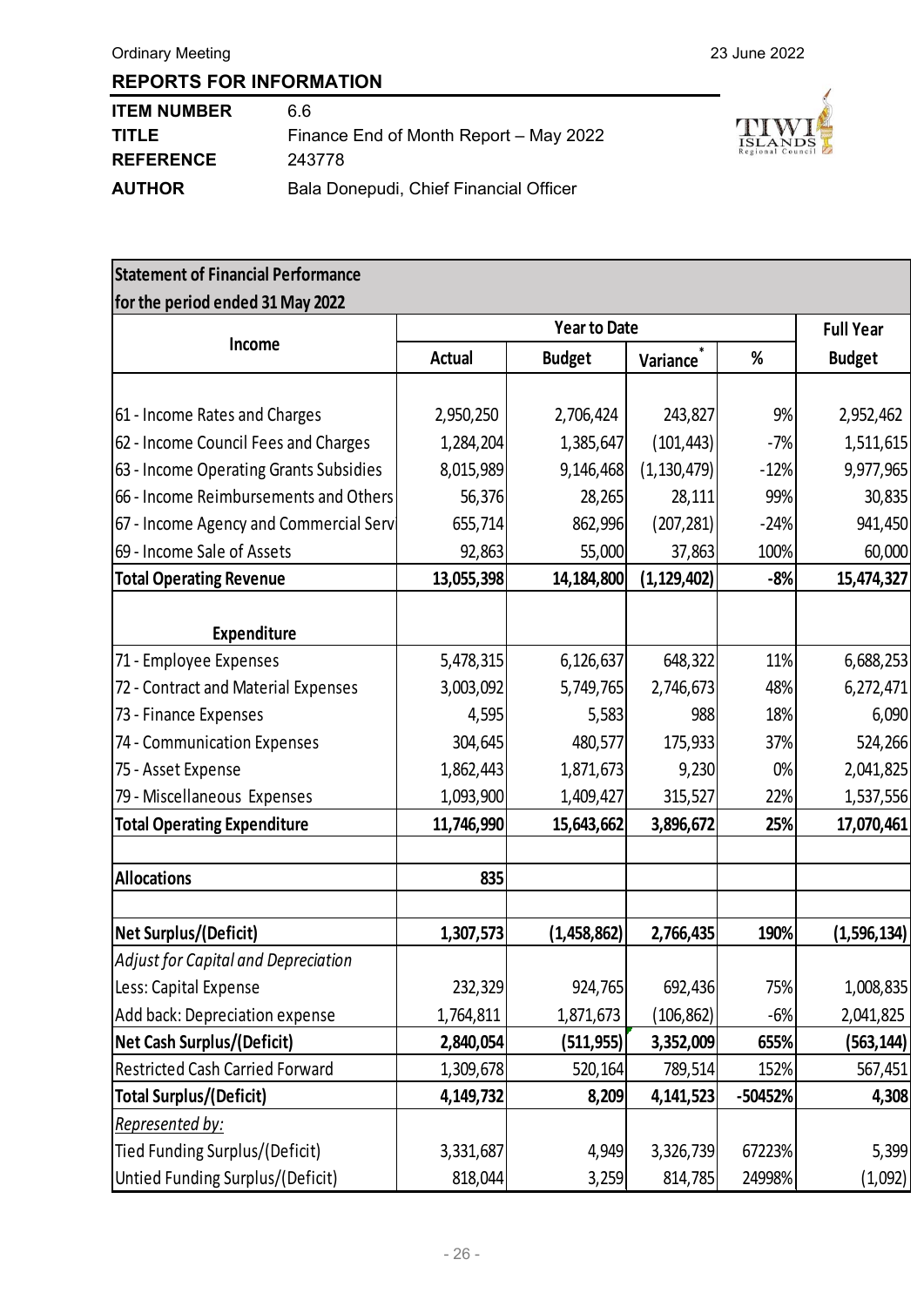| <b>ITEM NUMBER</b> | 66                                     |
|--------------------|----------------------------------------|
| <b>TITLE</b>       | Finance End of Month Report - May 2022 |
| <b>REFERENCE</b>   | 243778                                 |
| <b>AUTHOR</b>      | Bala Donepudi, Chief Financial Officer |



| <b>Statement of Financial Performance</b> |               |                     |               |         |                  |
|-------------------------------------------|---------------|---------------------|---------------|---------|------------------|
| for the period ended 31 May 2022          |               |                     |               |         |                  |
|                                           |               | <b>Year to Date</b> |               |         | <b>Full Year</b> |
| Income                                    | <b>Actual</b> | <b>Budget</b>       | Variance      | %       | <b>Budget</b>    |
|                                           |               |                     |               |         |                  |
| 61 - Income Rates and Charges             | 2,950,250     | 2,706,424           | 243,827       | 9%      | 2,952,462        |
| 62 - Income Council Fees and Charges      | 1,284,204     | 1,385,647           | (101, 443)    | $-7%$   | 1,511,615        |
| 63 - Income Operating Grants Subsidies    | 8,015,989     | 9,146,468           | (1, 130, 479) | $-12%$  | 9,977,965        |
| 66 - Income Reimbursements and Others     | 56,376        | 28,265              | 28,111        | 99%     | 30,835           |
| 67 - Income Agency and Commercial Serv    | 655,714       | 862,996             | (207, 281)    | $-24%$  | 941,450          |
| 69 - Income Sale of Assets                | 92,863        | 55,000              | 37,863        | 100%    | 60,000           |
| <b>Total Operating Revenue</b>            | 13,055,398    | 14,184,800          | (1, 129, 402) | $-8%$   | 15,474,327       |
|                                           |               |                     |               |         |                  |
| <b>Expenditure</b>                        |               |                     |               |         |                  |
| 71 - Employee Expenses                    | 5,478,315     | 6,126,637           | 648,322       | 11%     | 6,688,253        |
| 72 - Contract and Material Expenses       | 3,003,092     | 5,749,765           | 2,746,673     | 48%     | 6,272,471        |
| 73 - Finance Expenses                     | 4,595         | 5,583               | 988           | 18%     | 6,090            |
| 74 - Communication Expenses               | 304,645       | 480,577             | 175,933       | 37%     | 524,266          |
| 75 - Asset Expense                        | 1,862,443     | 1,871,673           | 9,230         | 0%      | 2,041,825        |
| 79 - Miscellaneous Expenses               | 1,093,900     | 1,409,427           | 315,527       | 22%     | 1,537,556        |
| <b>Total Operating Expenditure</b>        | 11,746,990    | 15,643,662          | 3,896,672     | 25%     | 17,070,461       |
| <b>Allocations</b>                        | 835           |                     |               |         |                  |
| Net Surplus/(Deficit)                     | 1,307,573     | (1,458,862)         | 2,766,435     | 190%    | (1,596,134)      |
| Adjust for Capital and Depreciation       |               |                     |               |         |                  |
| Less: Capital Expense                     | 232,329       | 924,765             | 692,436       | 75%     | 1,008,835        |
| Add back: Depreciation expense            | 1,764,811     | 1,871,673           | (106, 862)    | $-6%$   | 2,041,825        |
| <b>Net Cash Surplus/(Deficit)</b>         | 2,840,054     | (511,955)           | 3,352,009     | 655%    | (563,144)        |
| <b>Restricted Cash Carried Forward</b>    | 1,309,678     | 520,164             | 789,514       | 152%    | 567,451          |
| <b>Total Surplus/(Deficit)</b>            | 4,149,732     | 8,209               | 4,141,523     | -50452% | 4,308            |
| Represented by:                           |               |                     |               |         |                  |
| Tied Funding Surplus/(Deficit)            | 3,331,687     | 4,949               | 3,326,739     | 67223%  | 5,399            |
| Untied Funding Surplus/(Deficit)          | 818,044       | 3,259               | 814,785       | 24998%  | (1,092)          |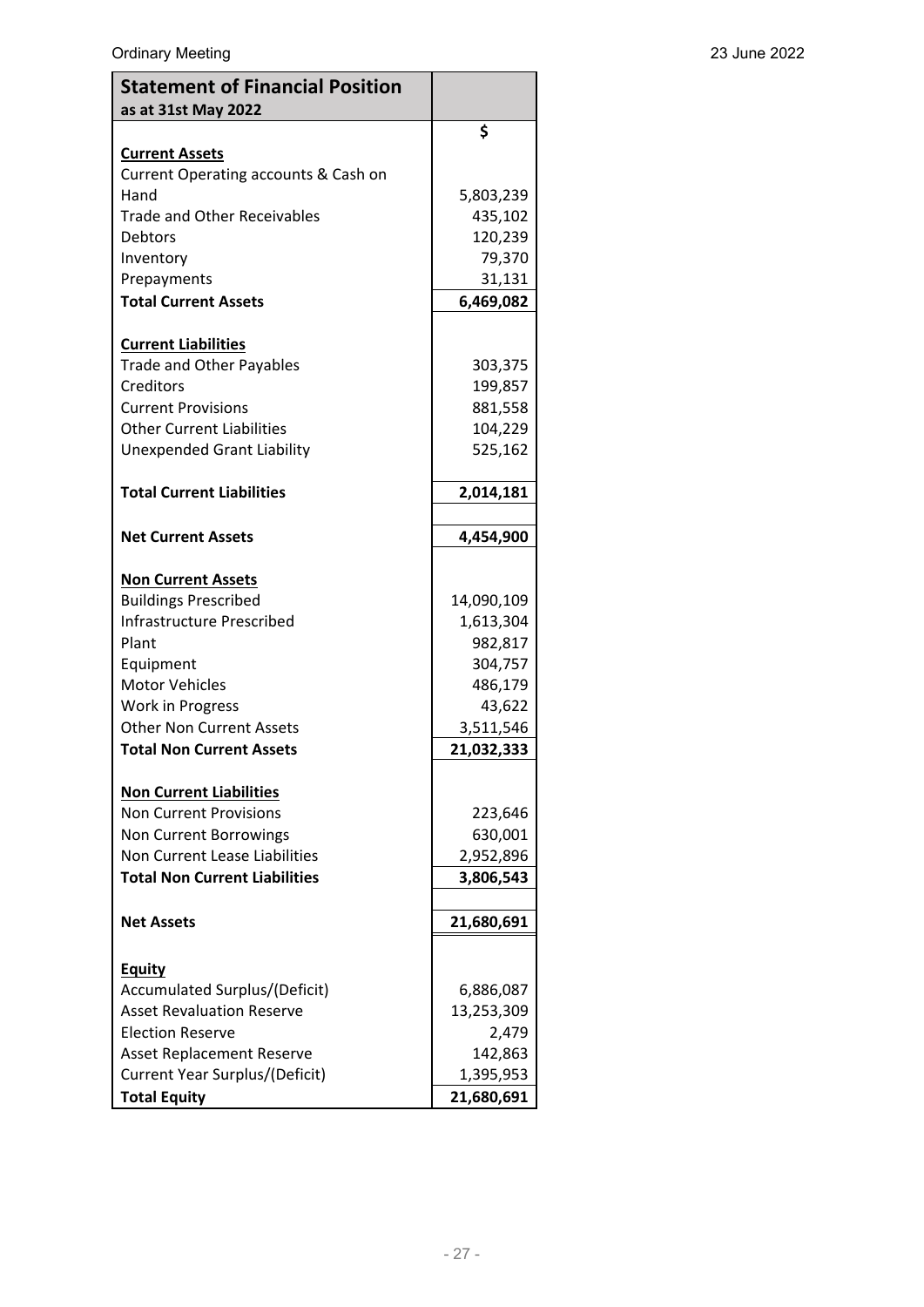| <b>Statement of Financial Position</b><br>as at 31st May 2022 |            |
|---------------------------------------------------------------|------------|
|                                                               | \$         |
| <b>Current Assets</b><br>Current Operating accounts & Cash on |            |
| Hand                                                          | 5,803,239  |
| <b>Trade and Other Receivables</b>                            | 435,102    |
| Debtors                                                       | 120,239    |
| Inventory                                                     | 79,370     |
| Prepayments                                                   | 31,131     |
| <b>Total Current Assets</b>                                   | 6,469,082  |
| <b>Current Liabilities</b>                                    |            |
| <b>Trade and Other Payables</b>                               | 303,375    |
| Creditors                                                     | 199,857    |
| <b>Current Provisions</b>                                     | 881,558    |
| <b>Other Current Liabilities</b>                              | 104,229    |
| <b>Unexpended Grant Liability</b>                             | 525,162    |
| <b>Total Current Liabilities</b>                              | 2,014,181  |
|                                                               |            |
| <b>Net Current Assets</b>                                     | 4,454,900  |
| <b>Non Current Assets</b>                                     |            |
| <b>Buildings Prescribed</b>                                   | 14,090,109 |
| Infrastructure Prescribed                                     | 1,613,304  |
| Plant                                                         | 982,817    |
| Equipment                                                     | 304,757    |
| <b>Motor Vehicles</b>                                         | 486,179    |
| Work in Progress                                              | 43,622     |
| <b>Other Non Current Assets</b>                               | 3,511,546  |
| <b>Total Non Current Assets</b>                               | 21,032,333 |
| <b>Non Current Liabilities</b>                                |            |
| <b>Non Current Provisions</b>                                 | 223,646    |
| <b>Non Current Borrowings</b>                                 | 630,001    |
| Non Current Lease Liabilities                                 | 2,952,896  |
| <b>Total Non Current Liabilities</b>                          | 3,806,543  |
| <b>Net Assets</b>                                             | 21,680,691 |
|                                                               |            |
| <b>Equity</b><br>Accumulated Surplus/(Deficit)                | 6,886,087  |
| <b>Asset Revaluation Reserve</b>                              | 13,253,309 |
| <b>Election Reserve</b>                                       | 2,479      |
| <b>Asset Replacement Reserve</b>                              | 142,863    |
| Current Year Surplus/(Deficit)                                | 1,395,953  |
| <b>Total Equity</b>                                           | 21,680,691 |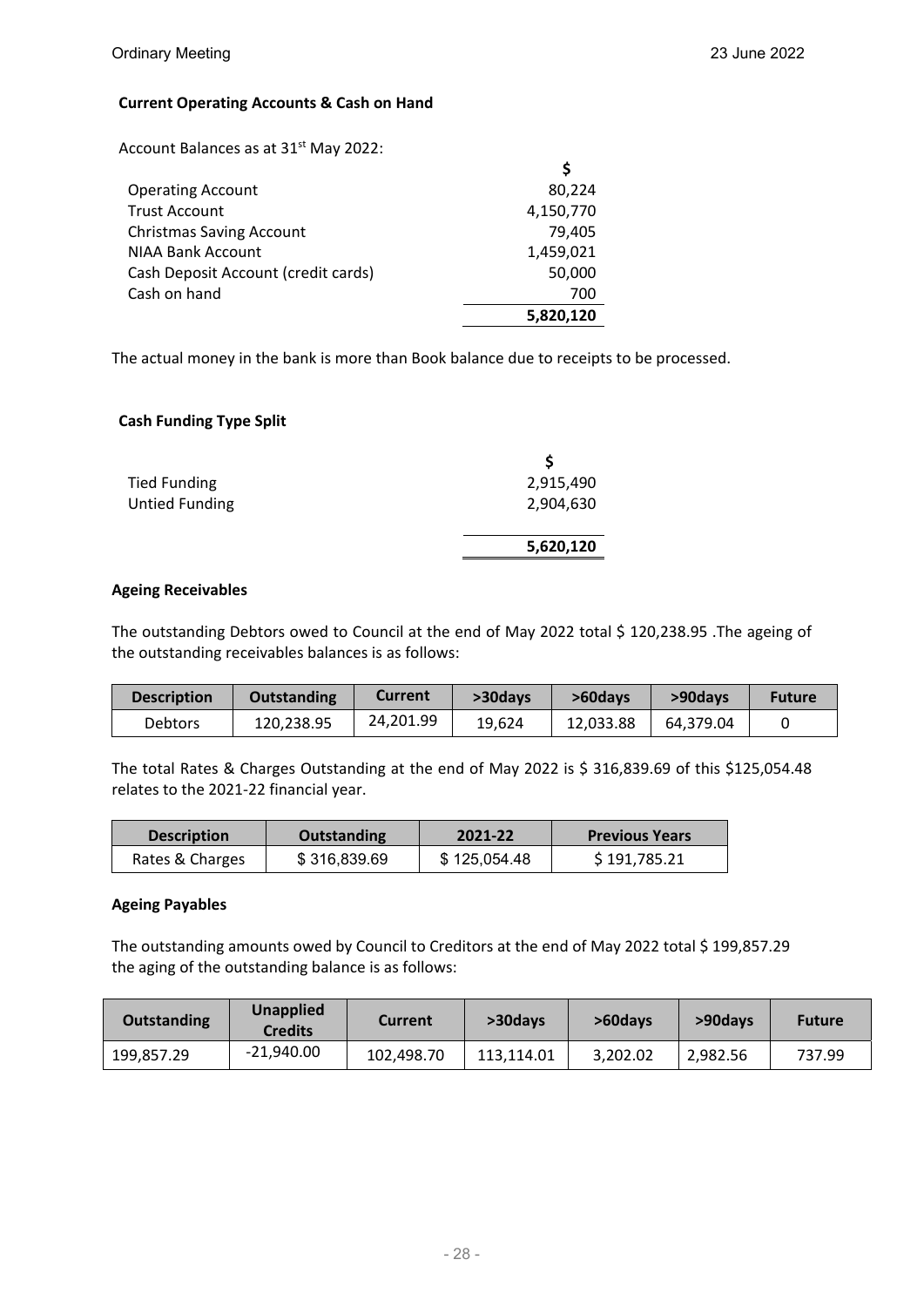#### **Current Operating Accounts & Cash on Hand**

Account Balances as at 31<sup>st</sup> May 2022:

| <b>Operating Account</b>            | 80,224    |
|-------------------------------------|-----------|
| <b>Trust Account</b>                | 4,150,770 |
| <b>Christmas Saving Account</b>     | 79.405    |
| <b>NIAA Bank Account</b>            | 1,459,021 |
| Cash Deposit Account (credit cards) | 50,000    |
| Cash on hand                        | 700       |
|                                     | 5,820,120 |

The actual money in the bank is more than Book balance due to receipts to be processed.

#### **Cash Funding Type Split**

| <b>Tied Funding</b>   | 2,915,490 |
|-----------------------|-----------|
| <b>Untied Funding</b> | 2,904,630 |
|                       | 5,620,120 |
|                       |           |

#### **Ageing Receivables**

The outstanding Debtors owed to Council at the end of May 2022 total \$ 120,238.95 .The ageing of the outstanding receivables balances is as follows:

| <b>Description</b> | <b>Outstanding</b> | Current   | >30days | >60davs   | >90days   | <b>Future</b> |
|--------------------|--------------------|-----------|---------|-----------|-----------|---------------|
| <b>Debtors</b>     | 120,238.95         | 24.201.99 | 19,624  | 12.033.88 | 64.379.04 |               |

The total Rates & Charges Outstanding at the end of May 2022 is \$ 316,839.69 of this \$125,054.48 relates to the 2021‐22 financial year.

| <b>Description</b> | <b>Outstanding</b> | 2021-22      | <b>Previous Years</b> |
|--------------------|--------------------|--------------|-----------------------|
| Rates & Charges    | \$316,839.69       | \$125.054.48 | \$191,785.21          |

#### **Ageing Payables**

The outstanding amounts owed by Council to Creditors at the end of May 2022 total \$ 199,857.29 the aging of the outstanding balance is as follows:

| Outstanding | <b>Unapplied</b><br>Credits | Current    | >30days    | >60days  | >90days  | <b>Future</b> |
|-------------|-----------------------------|------------|------------|----------|----------|---------------|
| 199,857.29  | $-21.940.00$                | 102,498.70 | 113.114.01 | 3,202.02 | 2.982.56 | 737.99        |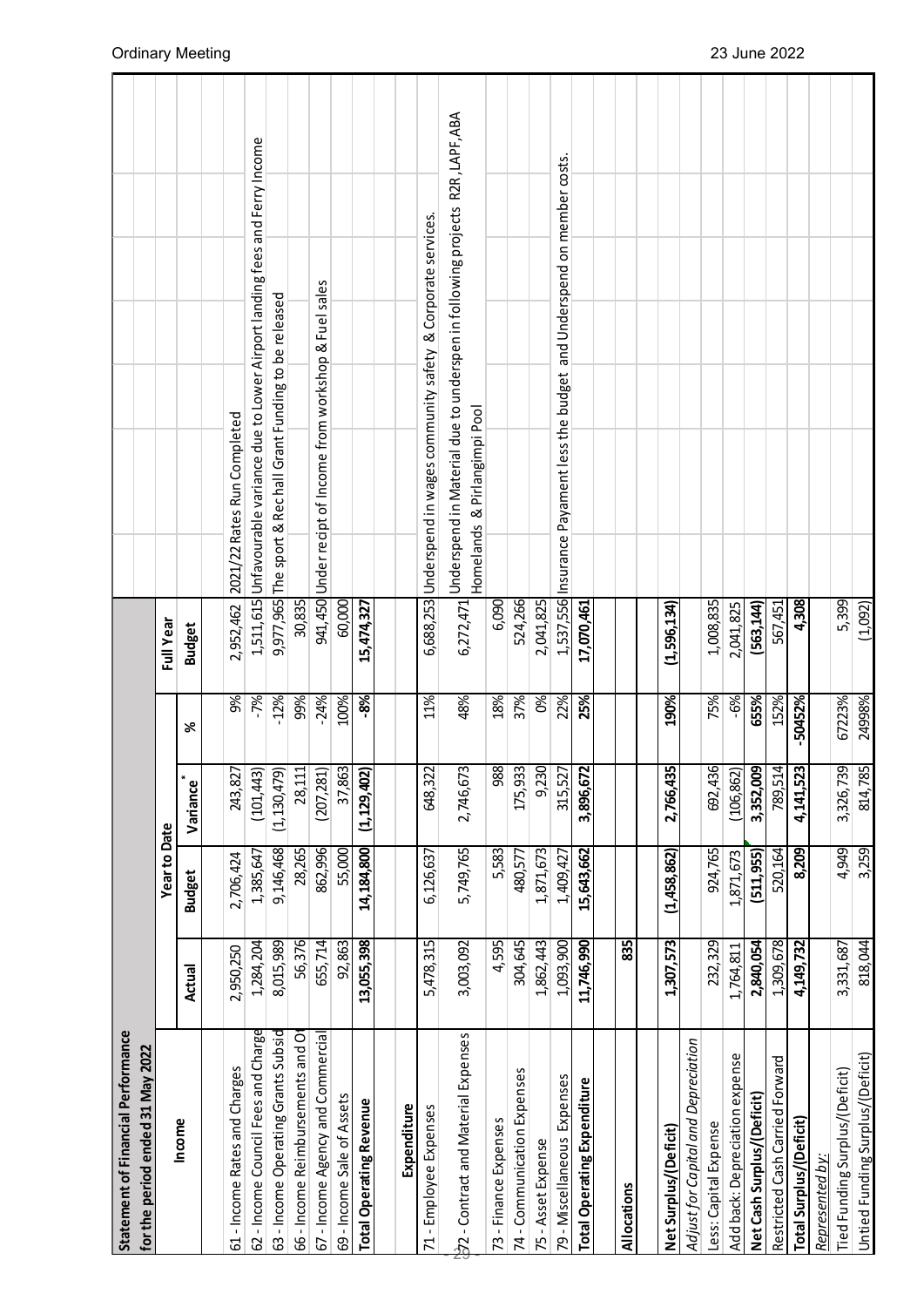| Statement of Financial Performance  |            |                     |               |             |               |                                                                                                                        |
|-------------------------------------|------------|---------------------|---------------|-------------|---------------|------------------------------------------------------------------------------------------------------------------------|
| for the period ended 31 May 2022    |            |                     |               |             |               |                                                                                                                        |
|                                     |            | <b>Year to Date</b> |               |             | Full Year     |                                                                                                                        |
| Income                              | Actual     | <b>Budget</b>       | ₩<br>Variance | ৯ৎ          | <b>Budget</b> |                                                                                                                        |
|                                     |            |                     |               |             |               |                                                                                                                        |
| 61 - Income Rates and Charges       | 2,950,250  | 2,706,424           | 243,827       | 9%          | 2,952,462     | 2021/22 Rates Run Completed                                                                                            |
| 62 - Income Council Fees and Charge | 1,284,204  | 1,385,647           | (101, 443)    | $-7%$       |               | 1,511,615 Unfavourable variance due to Lower Airport landing fees and Ferry Income                                     |
| 63 - Income Operating Grants Subsid | 8,015,989  | 9,146,468           | (1, 130, 479) | $-12%$      | 9,977,965     | The sport & Rechall Grant Funding to be released                                                                       |
| 66 - Income Reimbursements and Ot   | 56,376     | 28,265              | 28,111        | 99%         | 30,835        |                                                                                                                        |
| 67 - Income Agency and Commercial   | 655,714    | 862,996             | (207, 281)    | $-24%$      | 941,450       | Under recipt of Income from workshop & Fuel sales                                                                      |
| 69 - Income Sale of Assets          | 92,863     | 55,000              | 37,863        | 100%        | 60,000        |                                                                                                                        |
| <b>Total Operating Revenue</b>      | 13,055,398 | 14,184,800          | (1, 129, 402) | -8%         | 15,474,327    |                                                                                                                        |
|                                     |            |                     |               |             |               |                                                                                                                        |
| Expenditure                         |            |                     |               |             |               |                                                                                                                        |
| 71-Employee Expenses                | 5,478,315  | 6,126,637           | 648,322       | 11%         |               | 6,688,253 Underspend in wages community safety & Corporate services.                                                   |
| 22 - Contract and Material Expenses | 3,003,092  | 5,749,765           | 2,746,673     | 48%         |               | 6,272,471 Underspend in Material due to underspen in following projects R2R, LAPF, ABA<br>Homelands & Pirlangimpi Pool |
| 73 - Finance Expenses               | 4,595      | 5,583               | 988           | 18%         | 6,090         |                                                                                                                        |
| 74 - Communication Expenses         | 304,645    | 480,577             | 175,933       | 37%         | 524,266       |                                                                                                                        |
| 75 - Asset Expense                  | 1,862,443  | 1,871,673           | 9,230         | $\infty$    | 2,041,825     |                                                                                                                        |
| 79 - Miscellaneous Expenses         | 1,093,900  | 1,409,427           | 315,527       | 22%         |               | 1,537,556 Insurance Payament less the budget and Underspend on member costs.                                           |
| <b>Total Operating Expenditure</b>  | 11,746,990 | 15,643,662          | 3,896,677     | 25%         | 17,070,461    |                                                                                                                        |
|                                     |            |                     |               |             |               |                                                                                                                        |
| Allocations                         | 835        |                     |               |             |               |                                                                                                                        |
|                                     |            |                     |               |             |               |                                                                                                                        |
| Net Surplus/(Deficit)               | 1,307,573  | (1,458,862)         | 2,766,435     | 190%        | (1,596,134)   |                                                                                                                        |
| Adjust for Capital and Depreciation |            |                     |               |             |               |                                                                                                                        |
| Less: Capital Expense               | 232,329    | 924,765             | 692,436       | 75%         | 1,008,835     |                                                                                                                        |
| Add back: Depreciation expense      | 1,764,811  | 1,871,673           | (106, 862)    | $-6%$       | 2,041,825     |                                                                                                                        |
| Net Cash Surplus/(Deficit)          | 2,840,054  | (511, 955)          | 3,352,009     | <b>655%</b> | (563, 144)    |                                                                                                                        |
| Restricted Cash Carried Forward     | 1,309,678  | 520,164             | 789,514       | 152%        | 567,451       |                                                                                                                        |
| Total Surplus/(Deficit)             | 4,149,732  | 8,209               | 4,141,523     | -50452%     | 4,308         |                                                                                                                        |
| Represented by:                     |            |                     |               |             |               |                                                                                                                        |
| Tied Funding Surplus/(Deficit)      | 3,331,687  | 4,949               | 3,326,739     | 67223%      | 5,399         |                                                                                                                        |
| Untied Funding Surplus/(Deficit)    | 818,044    | 3,259               | 814,785       | 24998%      | (1,092)       |                                                                                                                        |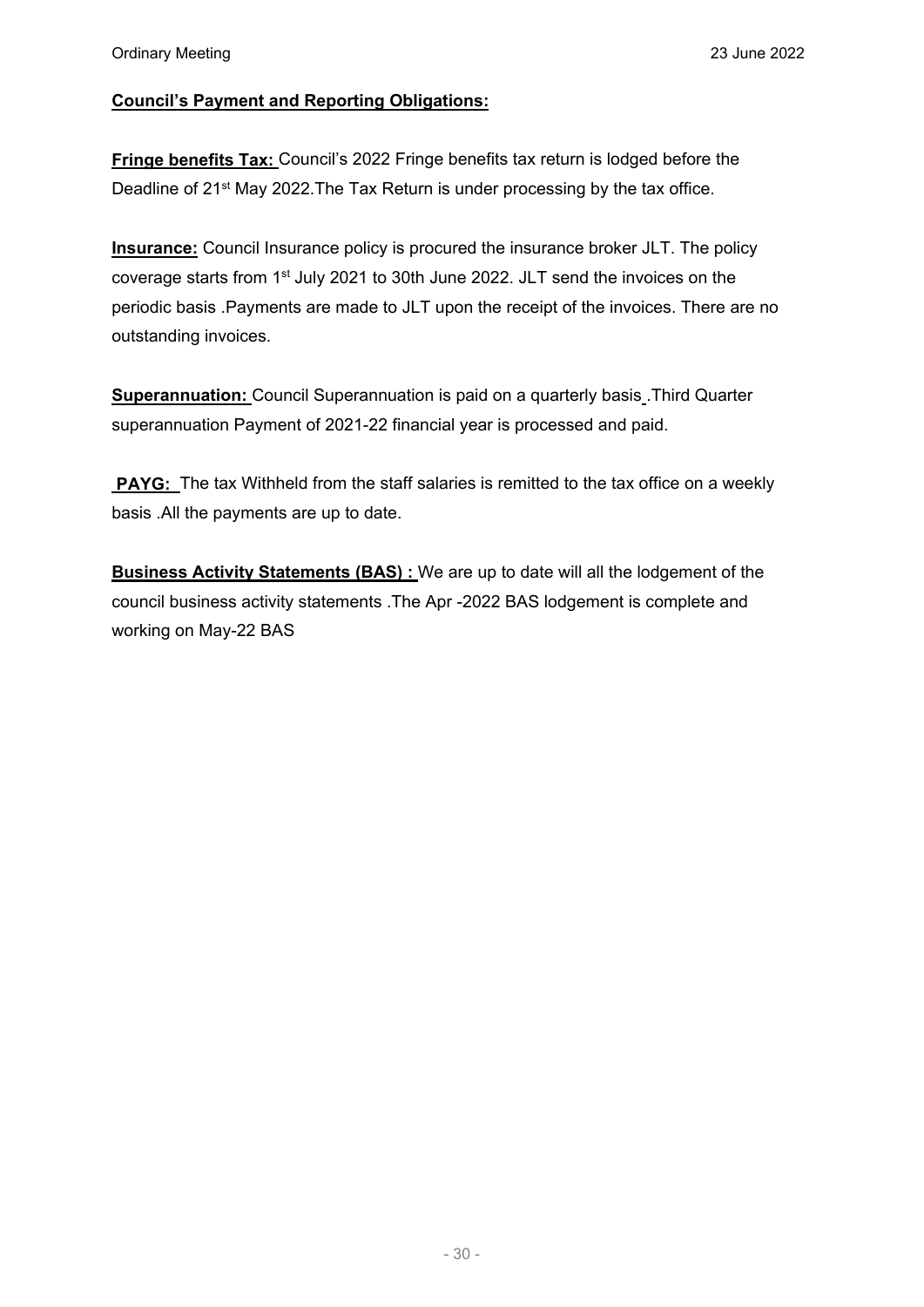### **Council's Payment and Reporting Obligations:**

**Fringe benefits Tax: Council's 2022 Fringe benefits tax return is lodged before the** Deadline of 21<sup>st</sup> May 2022. The Tax Return is under processing by the tax office.

**Insurance:** Council Insurance policy is procured the insurance broker JLT. The policy coverage starts from 1<sup>st</sup> July 2021 to 30th June 2022. JLT send the invoices on the periodic basis .Payments are made to JLT upon the receipt of the invoices. There are no outstanding invoices.

**Superannuation:** Council Superannuation is paid on a quarterly basis. Third Quarter superannuation Payment of 2021-22 financial year is processed and paid.

**PAYG:** The tax Withheld from the staff salaries is remitted to the tax office on a weekly basis .All the payments are up to date.

**Business Activity Statements (BAS) :** We are up to date will all the lodgement of the council business activity statements .The Apr -2022 BAS lodgement is complete and working on May-22 BAS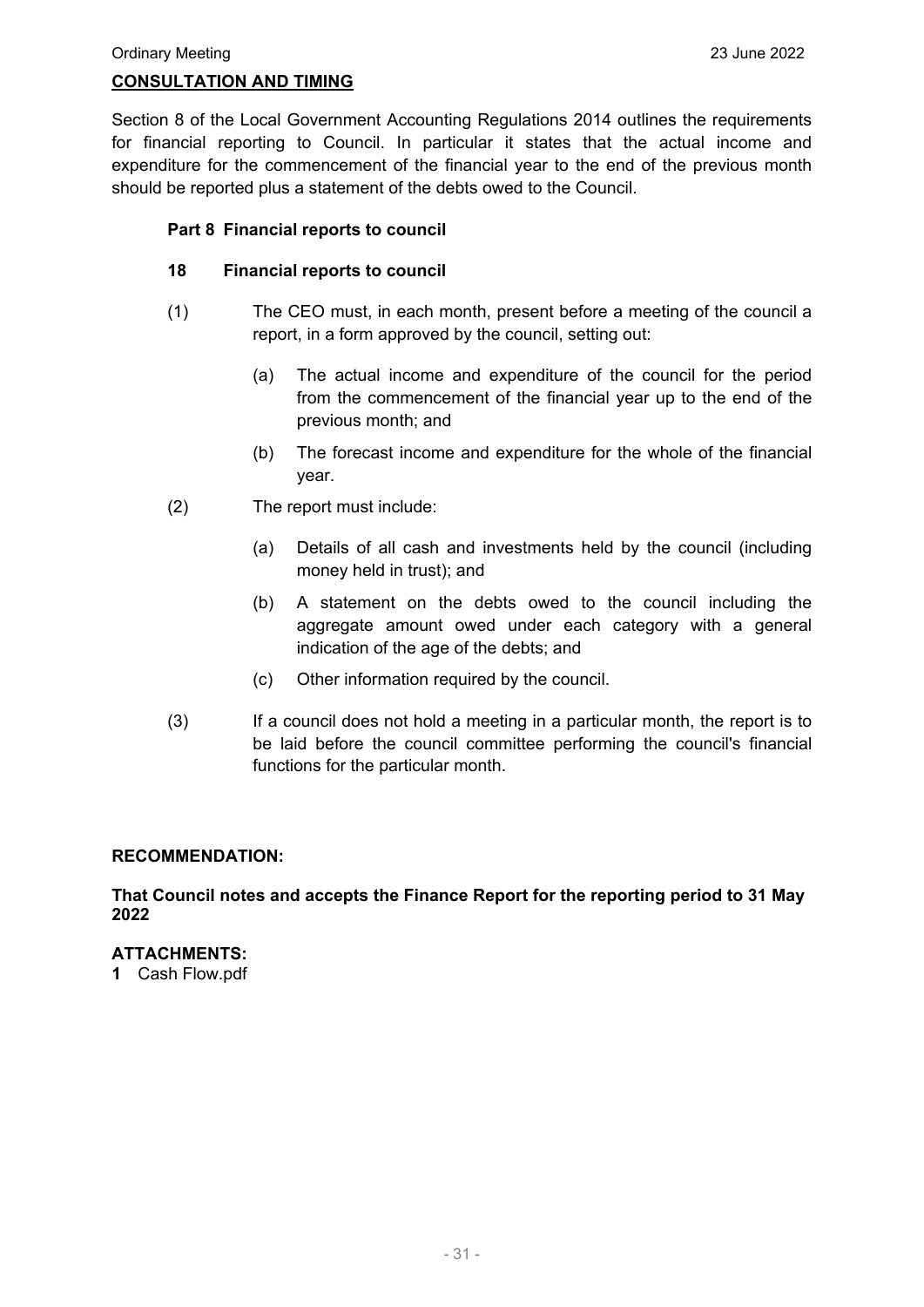#### **CONSULTATION AND TIMING**

Section 8 of the Local Government Accounting Regulations 2014 outlines the requirements for financial reporting to Council. In particular it states that the actual income and expenditure for the commencement of the financial year to the end of the previous month should be reported plus a statement of the debts owed to the Council.

#### **Part 8 Financial reports to council**

#### **18 Financial reports to council**

- (1) The CEO must, in each month, present before a meeting of the council a report, in a form approved by the council, setting out:
	- (a) The actual income and expenditure of the council for the period from the commencement of the financial year up to the end of the previous month; and
	- (b) The forecast income and expenditure for the whole of the financial year.
- (2) The report must include:
	- (a) Details of all cash and investments held by the council (including money held in trust); and
	- (b) A statement on the debts owed to the council including the aggregate amount owed under each category with a general indication of the age of the debts; and
	- (c) Other information required by the council.
- (3) If a council does not hold a meeting in a particular month, the report is to be laid before the council committee performing the council's financial functions for the particular month.

#### **RECOMMENDATION:**

**That Council notes and accepts the Finance Report for the reporting period to 31 May 2022**

#### **ATTACHMENTS:**

**1** Cash Flow.pdf